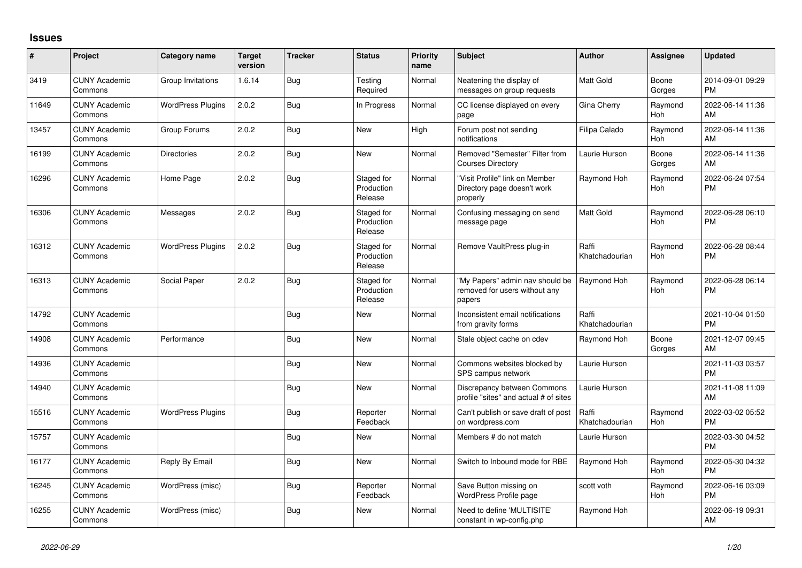## **Issues**

| $\pmb{\#}$ | Project                         | Category name            | <b>Target</b><br>version | <b>Tracker</b> | <b>Status</b>                       | <b>Priority</b><br>name | <b>Subject</b>                                                             | <b>Author</b>           | <b>Assignee</b>       | <b>Updated</b>                |
|------------|---------------------------------|--------------------------|--------------------------|----------------|-------------------------------------|-------------------------|----------------------------------------------------------------------------|-------------------------|-----------------------|-------------------------------|
| 3419       | <b>CUNY Academic</b><br>Commons | Group Invitations        | 1.6.14                   | <b>Bug</b>     | Testing<br>Required                 | Normal                  | Neatening the display of<br>messages on group requests                     | <b>Matt Gold</b>        | Boone<br>Gorges       | 2014-09-01 09:29<br><b>PM</b> |
| 11649      | <b>CUNY Academic</b><br>Commons | <b>WordPress Plugins</b> | 2.0.2                    | <b>Bug</b>     | In Progress                         | Normal                  | CC license displayed on every<br>page                                      | Gina Cherry             | Raymond<br>Hoh        | 2022-06-14 11:36<br>AM        |
| 13457      | <b>CUNY Academic</b><br>Commons | Group Forums             | 2.0.2                    | <b>Bug</b>     | <b>New</b>                          | High                    | Forum post not sending<br>notifications                                    | Filipa Calado           | Raymond<br><b>Hoh</b> | 2022-06-14 11:36<br>AM        |
| 16199      | <b>CUNY Academic</b><br>Commons | <b>Directories</b>       | 2.0.2                    | <b>Bug</b>     | <b>New</b>                          | Normal                  | Removed "Semester" Filter from<br><b>Courses Directory</b>                 | Laurie Hurson           | Boone<br>Gorges       | 2022-06-14 11:36<br>AM        |
| 16296      | <b>CUNY Academic</b><br>Commons | Home Page                | 2.0.2                    | <b>Bug</b>     | Staged for<br>Production<br>Release | Normal                  | "Visit Profile" link on Member<br>Directory page doesn't work<br>properly  | Raymond Hoh             | Raymond<br><b>Hoh</b> | 2022-06-24 07:54<br><b>PM</b> |
| 16306      | <b>CUNY Academic</b><br>Commons | Messages                 | 2.0.2                    | Bug            | Staged for<br>Production<br>Release | Normal                  | Confusing messaging on send<br>message page                                | <b>Matt Gold</b>        | Raymond<br><b>Hoh</b> | 2022-06-28 06:10<br><b>PM</b> |
| 16312      | <b>CUNY Academic</b><br>Commons | <b>WordPress Plugins</b> | 2.0.2                    | <b>Bug</b>     | Staged for<br>Production<br>Release | Normal                  | Remove VaultPress plug-in                                                  | Raffi<br>Khatchadourian | Raymond<br>Hoh        | 2022-06-28 08:44<br><b>PM</b> |
| 16313      | <b>CUNY Academic</b><br>Commons | Social Paper             | 2.0.2                    | Bug            | Staged for<br>Production<br>Release | Normal                  | "My Papers" admin nav should be<br>removed for users without any<br>papers | Raymond Hoh             | Raymond<br>Hoh        | 2022-06-28 06:14<br><b>PM</b> |
| 14792      | <b>CUNY Academic</b><br>Commons |                          |                          | <b>Bug</b>     | <b>New</b>                          | Normal                  | Inconsistent email notifications<br>from gravity forms                     | Raffi<br>Khatchadourian |                       | 2021-10-04 01:50<br><b>PM</b> |
| 14908      | <b>CUNY Academic</b><br>Commons | Performance              |                          | <b>Bug</b>     | <b>New</b>                          | Normal                  | Stale object cache on cdev                                                 | Raymond Hoh             | Boone<br>Gorges       | 2021-12-07 09:45<br>AM        |
| 14936      | <b>CUNY Academic</b><br>Commons |                          |                          | <b>Bug</b>     | <b>New</b>                          | Normal                  | Commons websites blocked by<br>SPS campus network                          | Laurie Hurson           |                       | 2021-11-03 03:57<br><b>PM</b> |
| 14940      | <b>CUNY Academic</b><br>Commons |                          |                          | <b>Bug</b>     | <b>New</b>                          | Normal                  | Discrepancy between Commons<br>profile "sites" and actual # of sites       | Laurie Hurson           |                       | 2021-11-08 11:09<br>AM        |
| 15516      | <b>CUNY Academic</b><br>Commons | <b>WordPress Plugins</b> |                          | <b>Bug</b>     | Reporter<br>Feedback                | Normal                  | Can't publish or save draft of post<br>on wordpress.com                    | Raffi<br>Khatchadourian | Raymond<br>Hoh        | 2022-03-02 05:52<br><b>PM</b> |
| 15757      | <b>CUNY Academic</b><br>Commons |                          |                          | Bug            | <b>New</b>                          | Normal                  | Members # do not match                                                     | Laurie Hurson           |                       | 2022-03-30 04:52<br><b>PM</b> |
| 16177      | <b>CUNY Academic</b><br>Commons | Reply By Email           |                          | <b>Bug</b>     | <b>New</b>                          | Normal                  | Switch to Inbound mode for RBE                                             | Raymond Hoh             | Raymond<br><b>Hoh</b> | 2022-05-30 04:32<br><b>PM</b> |
| 16245      | <b>CUNY Academic</b><br>Commons | WordPress (misc)         |                          | Bug            | Reporter<br>Feedback                | Normal                  | Save Button missing on<br>WordPress Profile page                           | scott voth              | Raymond<br>Hoh        | 2022-06-16 03:09<br><b>PM</b> |
| 16255      | <b>CUNY Academic</b><br>Commons | WordPress (misc)         |                          | Bug            | <b>New</b>                          | Normal                  | Need to define 'MULTISITE'<br>constant in wp-config.php                    | Raymond Hoh             |                       | 2022-06-19 09:31<br>AM        |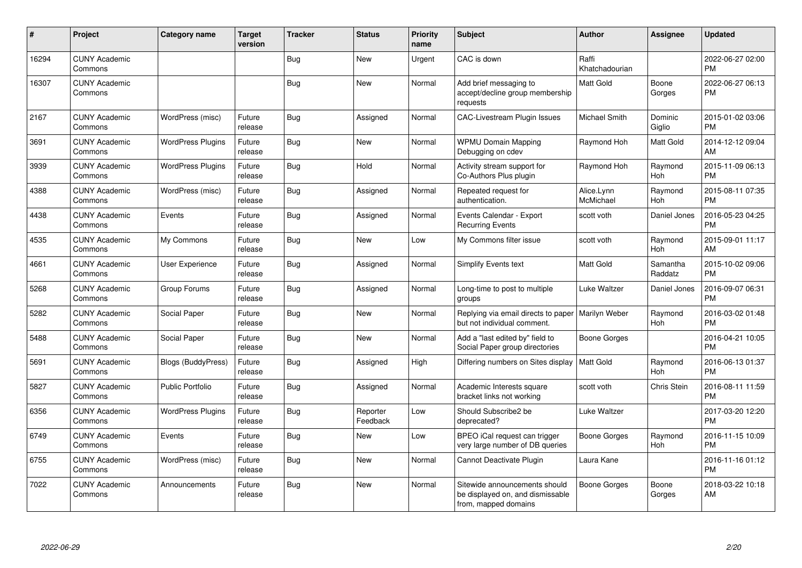| #     | Project                         | <b>Category name</b>     | <b>Target</b><br>version | <b>Tracker</b> | <b>Status</b>        | <b>Priority</b><br>name | <b>Subject</b>                                                                            | <b>Author</b>           | <b>Assignee</b>       | <b>Updated</b>                |
|-------|---------------------------------|--------------------------|--------------------------|----------------|----------------------|-------------------------|-------------------------------------------------------------------------------------------|-------------------------|-----------------------|-------------------------------|
| 16294 | <b>CUNY Academic</b><br>Commons |                          |                          | Bug            | <b>New</b>           | Urgent                  | CAC is down                                                                               | Raffi<br>Khatchadourian |                       | 2022-06-27 02:00<br><b>PM</b> |
| 16307 | <b>CUNY Academic</b><br>Commons |                          |                          | <b>Bug</b>     | New                  | Normal                  | Add brief messaging to<br>accept/decline group membership<br>requests                     | Matt Gold               | Boone<br>Gorges       | 2022-06-27 06:13<br><b>PM</b> |
| 2167  | <b>CUNY Academic</b><br>Commons | WordPress (misc)         | Future<br>release        | <b>Bug</b>     | Assigned             | Normal                  | CAC-Livestream Plugin Issues                                                              | Michael Smith           | Dominic<br>Giglio     | 2015-01-02 03:06<br><b>PM</b> |
| 3691  | <b>CUNY Academic</b><br>Commons | <b>WordPress Plugins</b> | Future<br>release        | Bug            | <b>New</b>           | Normal                  | <b>WPMU Domain Mapping</b><br>Debugging on cdev                                           | Raymond Hoh             | <b>Matt Gold</b>      | 2014-12-12 09:04<br>AM        |
| 3939  | <b>CUNY Academic</b><br>Commons | <b>WordPress Plugins</b> | Future<br>release        | Bug            | Hold                 | Normal                  | Activity stream support for<br>Co-Authors Plus plugin                                     | Raymond Hoh             | Raymond<br><b>Hoh</b> | 2015-11-09 06:13<br><b>PM</b> |
| 4388  | <b>CUNY Academic</b><br>Commons | WordPress (misc)         | Future<br>release        | <b>Bug</b>     | Assigned             | Normal                  | Repeated request for<br>authentication.                                                   | Alice.Lynn<br>McMichael | Raymond<br><b>Hoh</b> | 2015-08-11 07:35<br><b>PM</b> |
| 4438  | <b>CUNY Academic</b><br>Commons | Events                   | Future<br>release        | <b>Bug</b>     | Assigned             | Normal                  | Events Calendar - Export<br><b>Recurring Events</b>                                       | scott voth              | Daniel Jones          | 2016-05-23 04:25<br>PM        |
| 4535  | <b>CUNY Academic</b><br>Commons | My Commons               | Future<br>release        | <b>Bug</b>     | <b>New</b>           | Low                     | My Commons filter issue                                                                   | scott voth              | Raymond<br>Hoh        | 2015-09-01 11:17<br>AM        |
| 4661  | <b>CUNY Academic</b><br>Commons | User Experience          | Future<br>release        | Bug            | Assigned             | Normal                  | Simplify Events text                                                                      | <b>Matt Gold</b>        | Samantha<br>Raddatz   | 2015-10-02 09:06<br><b>PM</b> |
| 5268  | <b>CUNY Academic</b><br>Commons | Group Forums             | Future<br>release        | Bug            | Assigned             | Normal                  | Long-time to post to multiple<br>groups                                                   | Luke Waltzer            | Daniel Jones          | 2016-09-07 06:31<br><b>PM</b> |
| 5282  | <b>CUNY Academic</b><br>Commons | Social Paper             | Future<br>release        | <b>Bug</b>     | <b>New</b>           | Normal                  | Replying via email directs to paper<br>but not individual comment.                        | Marilyn Weber           | Raymond<br>Hoh        | 2016-03-02 01:48<br><b>PM</b> |
| 5488  | <b>CUNY Academic</b><br>Commons | Social Paper             | Future<br>release        | <b>Bug</b>     | <b>New</b>           | Normal                  | Add a "last edited by" field to<br>Social Paper group directories                         | Boone Gorges            |                       | 2016-04-21 10:05<br><b>PM</b> |
| 5691  | <b>CUNY Academic</b><br>Commons | Blogs (BuddyPress)       | Future<br>release        | <b>Bug</b>     | Assigned             | High                    | Differing numbers on Sites display                                                        | <b>Matt Gold</b>        | Raymond<br><b>Hoh</b> | 2016-06-13 01:37<br><b>PM</b> |
| 5827  | <b>CUNY Academic</b><br>Commons | <b>Public Portfolio</b>  | Future<br>release        | Bug            | Assigned             | Normal                  | Academic Interests square<br>bracket links not working                                    | scott voth              | Chris Stein           | 2016-08-11 11:59<br><b>PM</b> |
| 6356  | <b>CUNY Academic</b><br>Commons | <b>WordPress Plugins</b> | Future<br>release        | Bug            | Reporter<br>Feedback | Low                     | Should Subscribe2 be<br>deprecated?                                                       | Luke Waltzer            |                       | 2017-03-20 12:20<br><b>PM</b> |
| 6749  | <b>CUNY Academic</b><br>Commons | Events                   | Future<br>release        | <b>Bug</b>     | New                  | Low                     | BPEO iCal request can trigger<br>very large number of DB queries                          | Boone Gorges            | Raymond<br>Hoh        | 2016-11-15 10:09<br><b>PM</b> |
| 6755  | <b>CUNY Academic</b><br>Commons | WordPress (misc)         | Future<br>release        | Bug            | New                  | Normal                  | Cannot Deactivate Plugin                                                                  | Laura Kane              |                       | 2016-11-16 01:12<br><b>PM</b> |
| 7022  | <b>CUNY Academic</b><br>Commons | Announcements            | Future<br>release        | <b>Bug</b>     | <b>New</b>           | Normal                  | Sitewide announcements should<br>be displayed on, and dismissable<br>from, mapped domains | <b>Boone Gorges</b>     | Boone<br>Gorges       | 2018-03-22 10:18<br>AM        |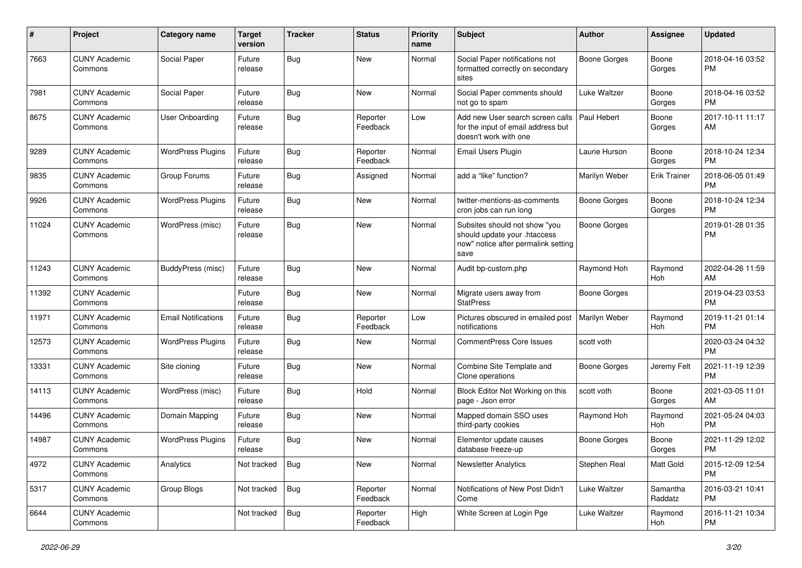| #     | Project                         | <b>Category name</b>       | Target<br>version | <b>Tracker</b> | <b>Status</b>        | <b>Priority</b><br>name | Subject                                                                                                      | <b>Author</b>        | <b>Assignee</b>     | <b>Updated</b>                |
|-------|---------------------------------|----------------------------|-------------------|----------------|----------------------|-------------------------|--------------------------------------------------------------------------------------------------------------|----------------------|---------------------|-------------------------------|
| 7663  | <b>CUNY Academic</b><br>Commons | Social Paper               | Future<br>release | <b>Bug</b>     | New                  | Normal                  | Social Paper notifications not<br>formatted correctly on secondary<br>sites                                  | <b>Boone Gorges</b>  | Boone<br>Gorges     | 2018-04-16 03:52<br>PM        |
| 7981  | <b>CUNY Academic</b><br>Commons | Social Paper               | Future<br>release | Bug            | New                  | Normal                  | Social Paper comments should<br>not go to spam                                                               | Luke Waltzer         | Boone<br>Gorges     | 2018-04-16 03:52<br><b>PM</b> |
| 8675  | <b>CUNY Academic</b><br>Commons | <b>User Onboarding</b>     | Future<br>release | Bug            | Reporter<br>Feedback | Low                     | Add new User search screen calls<br>for the input of email address but<br>doesn't work with one              | Paul Hebert          | Boone<br>Gorges     | 2017-10-11 11:17<br>AM        |
| 9289  | <b>CUNY Academic</b><br>Commons | <b>WordPress Plugins</b>   | Future<br>release | Bug            | Reporter<br>Feedback | Normal                  | Email Users Plugin                                                                                           | Laurie Hurson        | Boone<br>Gorges     | 2018-10-24 12:34<br><b>PM</b> |
| 9835  | <b>CUNY Academic</b><br>Commons | Group Forums               | Future<br>release | Bug            | Assigned             | Normal                  | add a "like" function?                                                                                       | Marilyn Weber        | <b>Erik Trainer</b> | 2018-06-05 01:49<br><b>PM</b> |
| 9926  | <b>CUNY Academic</b><br>Commons | <b>WordPress Plugins</b>   | Future<br>release | Bug            | New                  | Normal                  | twitter-mentions-as-comments<br>cron jobs can run long                                                       | Boone Gorges         | Boone<br>Gorges     | 2018-10-24 12:34<br><b>PM</b> |
| 11024 | <b>CUNY Academic</b><br>Commons | WordPress (misc)           | Future<br>release | Bug            | <b>New</b>           | Normal                  | Subsites should not show "you<br>should update your .htaccess<br>now" notice after permalink setting<br>save | <b>Boone Gorges</b>  |                     | 2019-01-28 01:35<br><b>PM</b> |
| 11243 | <b>CUNY Academic</b><br>Commons | BuddyPress (misc)          | Future<br>release | Bug            | New                  | Normal                  | Audit bp-custom.php                                                                                          | Raymond Hoh          | Raymond<br>Hoh      | 2022-04-26 11:59<br>AM        |
| 11392 | <b>CUNY Academic</b><br>Commons |                            | Future<br>release | <b>Bug</b>     | <b>New</b>           | Normal                  | Migrate users away from<br><b>StatPress</b>                                                                  | <b>Boone Gorges</b>  |                     | 2019-04-23 03:53<br><b>PM</b> |
| 11971 | <b>CUNY Academic</b><br>Commons | <b>Email Notifications</b> | Future<br>release | Bug            | Reporter<br>Feedback | Low                     | Pictures obscured in emailed post<br>notifications                                                           | <b>Marilyn Weber</b> | Raymond<br>Hoh      | 2019-11-21 01:14<br><b>PM</b> |
| 12573 | <b>CUNY Academic</b><br>Commons | <b>WordPress Plugins</b>   | Future<br>release | Bug            | New                  | Normal                  | <b>CommentPress Core Issues</b>                                                                              | scott voth           |                     | 2020-03-24 04:32<br><b>PM</b> |
| 13331 | <b>CUNY Academic</b><br>Commons | Site cloning               | Future<br>release | Bug            | New                  | Normal                  | Combine Site Template and<br>Clone operations                                                                | Boone Gorges         | Jeremy Felt         | 2021-11-19 12:39<br><b>PM</b> |
| 14113 | <b>CUNY Academic</b><br>Commons | WordPress (misc)           | Future<br>release | Bug            | Hold                 | Normal                  | Block Editor Not Working on this<br>page - Json error                                                        | scott voth           | Boone<br>Gorges     | 2021-03-05 11:01<br>AM        |
| 14496 | <b>CUNY Academic</b><br>Commons | Domain Mapping             | Future<br>release | Bug            | New                  | Normal                  | Mapped domain SSO uses<br>third-party cookies                                                                | Raymond Hoh          | Raymond<br>Hoh      | 2021-05-24 04:03<br><b>PM</b> |
| 14987 | <b>CUNY Academic</b><br>Commons | <b>WordPress Plugins</b>   | Future<br>release | Bug            | <b>New</b>           | Normal                  | Elementor update causes<br>database freeze-up                                                                | <b>Boone Gorges</b>  | Boone<br>Gorges     | 2021-11-29 12:02<br><b>PM</b> |
| 4972  | <b>CUNY Academic</b><br>Commons | Analytics                  | Not tracked       | <b>Bug</b>     | New                  | Normal                  | <b>Newsletter Analytics</b>                                                                                  | Stephen Real         | Matt Gold           | 2015-12-09 12:54<br><b>PM</b> |
| 5317  | <b>CUNY Academic</b><br>Commons | Group Blogs                | Not tracked       | Bug            | Reporter<br>Feedback | Normal                  | Notifications of New Post Didn't<br>Come                                                                     | Luke Waltzer         | Samantha<br>Raddatz | 2016-03-21 10:41<br>PM        |
| 6644  | <b>CUNY Academic</b><br>Commons |                            | Not tracked       | <b>Bug</b>     | Reporter<br>Feedback | High                    | White Screen at Login Pge                                                                                    | Luke Waltzer         | Raymond<br>Hoh      | 2016-11-21 10:34<br><b>PM</b> |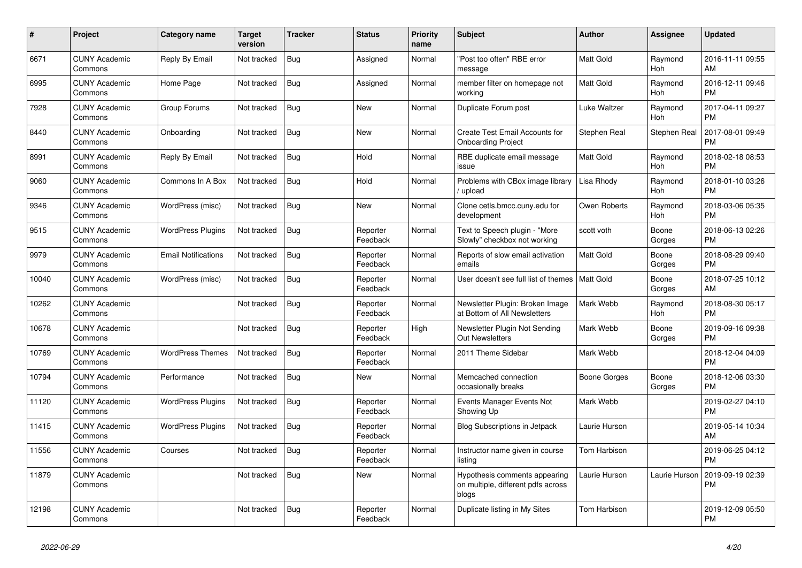| #     | Project                         | Category name              | <b>Target</b><br>version | <b>Tracker</b> | <b>Status</b>        | Priority<br>name | <b>Subject</b>                                                               | <b>Author</b>       | Assignee            | <b>Updated</b>                |
|-------|---------------------------------|----------------------------|--------------------------|----------------|----------------------|------------------|------------------------------------------------------------------------------|---------------------|---------------------|-------------------------------|
| 6671  | <b>CUNY Academic</b><br>Commons | Reply By Email             | Not tracked              | <b>Bug</b>     | Assigned             | Normal           | 'Post too often" RBE error<br>message                                        | <b>Matt Gold</b>    | Raymond<br>Hoh      | 2016-11-11 09:55<br>AM        |
| 6995  | <b>CUNY Academic</b><br>Commons | Home Page                  | Not tracked              | <b>Bug</b>     | Assigned             | Normal           | member filter on homepage not<br>working                                     | Matt Gold           | Raymond<br>Hoh      | 2016-12-11 09:46<br><b>PM</b> |
| 7928  | <b>CUNY Academic</b><br>Commons | Group Forums               | Not tracked              | Bug            | <b>New</b>           | Normal           | Duplicate Forum post                                                         | <b>Luke Waltzer</b> | Raymond<br>Hoh      | 2017-04-11 09:27<br><b>PM</b> |
| 8440  | <b>CUNY Academic</b><br>Commons | Onboarding                 | Not tracked              | <b>Bug</b>     | <b>New</b>           | Normal           | <b>Create Test Email Accounts for</b><br><b>Onboarding Project</b>           | Stephen Real        | <b>Stephen Real</b> | 2017-08-01 09:49<br>PM        |
| 8991  | <b>CUNY Academic</b><br>Commons | Reply By Email             | Not tracked              | Bug            | Hold                 | Normal           | RBE duplicate email message<br>issue                                         | Matt Gold           | Raymond<br>Hoh      | 2018-02-18 08:53<br>PM        |
| 9060  | <b>CUNY Academic</b><br>Commons | Commons In A Box           | Not tracked              | <b>Bug</b>     | Hold                 | Normal           | Problems with CBox image library<br>upload                                   | Lisa Rhody          | Raymond<br>Hoh      | 2018-01-10 03:26<br>PM        |
| 9346  | <b>CUNY Academic</b><br>Commons | WordPress (misc)           | Not tracked              | Bug            | <b>New</b>           | Normal           | Clone cetls.bmcc.cuny.edu for<br>development                                 | Owen Roberts        | Raymond<br>Hoh      | 2018-03-06 05:35<br><b>PM</b> |
| 9515  | <b>CUNY Academic</b><br>Commons | <b>WordPress Plugins</b>   | Not tracked              | Bug            | Reporter<br>Feedback | Normal           | Text to Speech plugin - "More<br>Slowly" checkbox not working                | scott voth          | Boone<br>Gorges     | 2018-06-13 02:26<br><b>PM</b> |
| 9979  | <b>CUNY Academic</b><br>Commons | <b>Email Notifications</b> | Not tracked              | <b>Bug</b>     | Reporter<br>Feedback | Normal           | Reports of slow email activation<br>emails                                   | Matt Gold           | Boone<br>Gorges     | 2018-08-29 09:40<br><b>PM</b> |
| 10040 | <b>CUNY Academic</b><br>Commons | WordPress (misc)           | Not tracked              | <b>Bug</b>     | Reporter<br>Feedback | Normal           | User doesn't see full list of themes                                         | <b>Matt Gold</b>    | Boone<br>Gorges     | 2018-07-25 10:12<br>AM        |
| 10262 | <b>CUNY Academic</b><br>Commons |                            | Not tracked              | Bug            | Reporter<br>Feedback | Normal           | Newsletter Plugin: Broken Image<br>at Bottom of All Newsletters              | Mark Webb           | Raymond<br>Hoh      | 2018-08-30 05:17<br><b>PM</b> |
| 10678 | <b>CUNY Academic</b><br>Commons |                            | Not tracked              | <b>Bug</b>     | Reporter<br>Feedback | High             | Newsletter Plugin Not Sending<br><b>Out Newsletters</b>                      | Mark Webb           | Boone<br>Gorges     | 2019-09-16 09:38<br><b>PM</b> |
| 10769 | <b>CUNY Academic</b><br>Commons | <b>WordPress Themes</b>    | Not tracked              | <b>Bug</b>     | Reporter<br>Feedback | Normal           | 2011 Theme Sidebar                                                           | Mark Webb           |                     | 2018-12-04 04:09<br><b>PM</b> |
| 10794 | <b>CUNY Academic</b><br>Commons | Performance                | Not tracked              | Bug            | New                  | Normal           | Memcached connection<br>occasionally breaks                                  | Boone Gorges        | Boone<br>Gorges     | 2018-12-06 03:30<br><b>PM</b> |
| 11120 | <b>CUNY Academic</b><br>Commons | <b>WordPress Plugins</b>   | Not tracked              | <b>Bug</b>     | Reporter<br>Feedback | Normal           | Events Manager Events Not<br>Showing Up                                      | Mark Webb           |                     | 2019-02-27 04:10<br>PM        |
| 11415 | <b>CUNY Academic</b><br>Commons | <b>WordPress Plugins</b>   | Not tracked              | <b>Bug</b>     | Reporter<br>Feedback | Normal           | Blog Subscriptions in Jetpack                                                | Laurie Hurson       |                     | 2019-05-14 10:34<br>AM        |
| 11556 | <b>CUNY Academic</b><br>Commons | Courses                    | Not tracked              | Bug            | Reporter<br>Feedback | Normal           | Instructor name given in course<br>listing                                   | Tom Harbison        |                     | 2019-06-25 04:12<br>PM        |
| 11879 | <b>CUNY Academic</b><br>Commons |                            | Not tracked              | <b>Bug</b>     | <b>New</b>           | Normal           | Hypothesis comments appearing<br>on multiple, different pdfs across<br>blogs | Laurie Hurson       | Laurie Hurson       | 2019-09-19 02:39<br>PM        |
| 12198 | <b>CUNY Academic</b><br>Commons |                            | Not tracked              | <b>Bug</b>     | Reporter<br>Feedback | Normal           | Duplicate listing in My Sites                                                | Tom Harbison        |                     | 2019-12-09 05:50<br><b>PM</b> |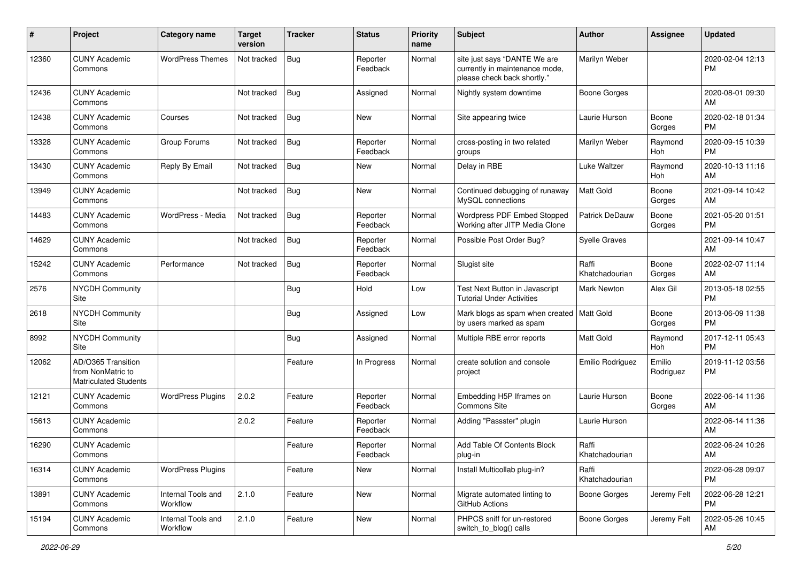| #     | Project                                                                 | <b>Category name</b>           | <b>Target</b><br>version | <b>Tracker</b> | <b>Status</b>        | <b>Priority</b><br>name | Subject                                                                                       | Author                  | <b>Assignee</b>     | <b>Updated</b>                |
|-------|-------------------------------------------------------------------------|--------------------------------|--------------------------|----------------|----------------------|-------------------------|-----------------------------------------------------------------------------------------------|-------------------------|---------------------|-------------------------------|
| 12360 | <b>CUNY Academic</b><br>Commons                                         | <b>WordPress Themes</b>        | Not tracked              | Bug            | Reporter<br>Feedback | Normal                  | site just says "DANTE We are<br>currently in maintenance mode,<br>please check back shortly." | Marilyn Weber           |                     | 2020-02-04 12:13<br>PM        |
| 12436 | <b>CUNY Academic</b><br>Commons                                         |                                | Not tracked              | <b>Bug</b>     | Assigned             | Normal                  | Nightly system downtime                                                                       | <b>Boone Gorges</b>     |                     | 2020-08-01 09:30<br>AM        |
| 12438 | <b>CUNY Academic</b><br>Commons                                         | Courses                        | Not tracked              | Bug            | New                  | Normal                  | Site appearing twice                                                                          | Laurie Hurson           | Boone<br>Gorges     | 2020-02-18 01:34<br><b>PM</b> |
| 13328 | <b>CUNY Academic</b><br>Commons                                         | Group Forums                   | Not tracked              | <b>Bug</b>     | Reporter<br>Feedback | Normal                  | cross-posting in two related<br>groups                                                        | Marilyn Weber           | Raymond<br>Hoh      | 2020-09-15 10:39<br>PM        |
| 13430 | <b>CUNY Academic</b><br>Commons                                         | Reply By Email                 | Not tracked              | Bug            | New                  | Normal                  | Delay in RBE                                                                                  | Luke Waltzer            | Raymond<br>Hoh      | 2020-10-13 11:16<br>AM        |
| 13949 | <b>CUNY Academic</b><br>Commons                                         |                                | Not tracked              | <b>Bug</b>     | New                  | Normal                  | Continued debugging of runaway<br>MySQL connections                                           | Matt Gold               | Boone<br>Gorges     | 2021-09-14 10:42<br>AM        |
| 14483 | <b>CUNY Academic</b><br>Commons                                         | WordPress - Media              | Not tracked              | <b>Bug</b>     | Reporter<br>Feedback | Normal                  | Wordpress PDF Embed Stopped<br>Working after JITP Media Clone                                 | Patrick DeDauw          | Boone<br>Gorges     | 2021-05-20 01:51<br><b>PM</b> |
| 14629 | <b>CUNY Academic</b><br>Commons                                         |                                | Not tracked              | Bug            | Reporter<br>Feedback | Normal                  | Possible Post Order Bug?                                                                      | <b>Syelle Graves</b>    |                     | 2021-09-14 10:47<br>AM        |
| 15242 | <b>CUNY Academic</b><br>Commons                                         | Performance                    | Not tracked              | <b>Bug</b>     | Reporter<br>Feedback | Normal                  | Slugist site                                                                                  | Raffi<br>Khatchadourian | Boone<br>Gorges     | 2022-02-07 11:14<br>AM        |
| 2576  | <b>NYCDH Community</b><br>Site                                          |                                |                          | <b>Bug</b>     | Hold                 | Low                     | Test Next Button in Javascript<br><b>Tutorial Under Activities</b>                            | Mark Newton             | Alex Gil            | 2013-05-18 02:55<br><b>PM</b> |
| 2618  | <b>NYCDH Community</b><br>Site                                          |                                |                          | <b>Bug</b>     | Assigned             | Low                     | Mark blogs as spam when created<br>by users marked as spam                                    | Matt Gold               | Boone<br>Gorges     | 2013-06-09 11:38<br>PM        |
| 8992  | <b>NYCDH Community</b><br>Site                                          |                                |                          | <b>Bug</b>     | Assigned             | Normal                  | Multiple RBE error reports                                                                    | <b>Matt Gold</b>        | Raymond<br>Hoh      | 2017-12-11 05:43<br><b>PM</b> |
| 12062 | AD/O365 Transition<br>from NonMatric to<br><b>Matriculated Students</b> |                                |                          | Feature        | In Progress          | Normal                  | create solution and console<br>project                                                        | Emilio Rodriguez        | Emilio<br>Rodriguez | 2019-11-12 03:56<br><b>PM</b> |
| 12121 | <b>CUNY Academic</b><br>Commons                                         | <b>WordPress Plugins</b>       | 2.0.2                    | Feature        | Reporter<br>Feedback | Normal                  | Embedding H5P Iframes on<br>Commons Site                                                      | Laurie Hurson           | Boone<br>Gorges     | 2022-06-14 11:36<br>AM        |
| 15613 | <b>CUNY Academic</b><br>Commons                                         |                                | 2.0.2                    | Feature        | Reporter<br>Feedback | Normal                  | Adding "Passster" plugin                                                                      | Laurie Hurson           |                     | 2022-06-14 11:36<br>AM        |
| 16290 | <b>CUNY Academic</b><br>Commons                                         |                                |                          | Feature        | Reporter<br>Feedback | Normal                  | Add Table Of Contents Block<br>plug-in                                                        | Raffi<br>Khatchadourian |                     | 2022-06-24 10:26<br>AM        |
| 16314 | <b>CUNY Academic</b><br>Commons                                         | <b>WordPress Plugins</b>       |                          | Feature        | New                  | Normal                  | Install Multicollab plug-in?                                                                  | Raffi<br>Khatchadourian |                     | 2022-06-28 09:07<br>PM        |
| 13891 | <b>CUNY Academic</b><br>Commons                                         | Internal Tools and<br>Workflow | 2.1.0                    | Feature        | New                  | Normal                  | Migrate automated linting to<br>GitHub Actions                                                | Boone Gorges            | Jeremy Felt         | 2022-06-28 12:21<br><b>PM</b> |
| 15194 | <b>CUNY Academic</b><br>Commons                                         | Internal Tools and<br>Workflow | 2.1.0                    | Feature        | New                  | Normal                  | PHPCS sniff for un-restored<br>switch_to_blog() calls                                         | <b>Boone Gorges</b>     | Jeremy Felt         | 2022-05-26 10:45<br>AM        |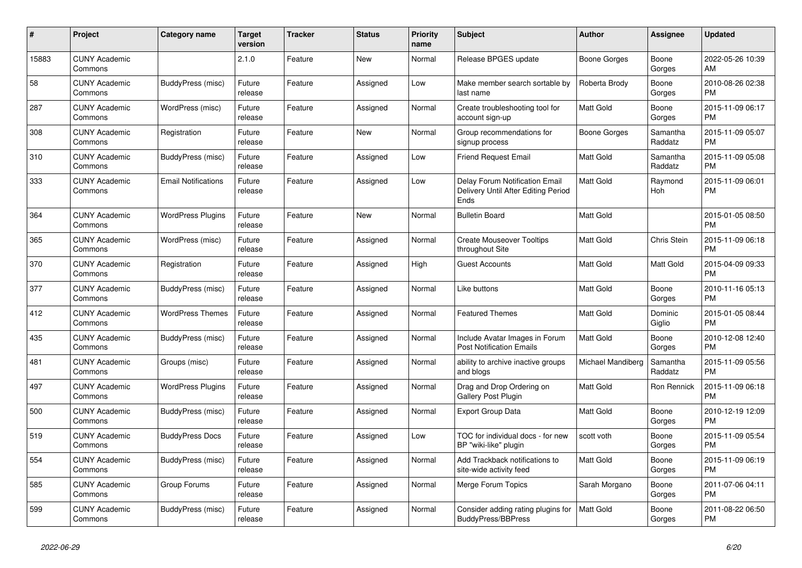| #     | Project                         | <b>Category name</b>       | Target<br>version | Tracker | <b>Status</b> | <b>Priority</b><br>name | <b>Subject</b>                                                                | <b>Author</b>     | <b>Assignee</b>     | <b>Updated</b>                |
|-------|---------------------------------|----------------------------|-------------------|---------|---------------|-------------------------|-------------------------------------------------------------------------------|-------------------|---------------------|-------------------------------|
| 15883 | <b>CUNY Academic</b><br>Commons |                            | 2.1.0             | Feature | <b>New</b>    | Normal                  | Release BPGES update                                                          | Boone Gorges      | Boone<br>Gorges     | 2022-05-26 10:39<br>AM        |
| 58    | <b>CUNY Academic</b><br>Commons | BuddyPress (misc)          | Future<br>release | Feature | Assigned      | Low                     | Make member search sortable by<br>last name                                   | Roberta Brody     | Boone<br>Gorges     | 2010-08-26 02:38<br><b>PM</b> |
| 287   | <b>CUNY Academic</b><br>Commons | WordPress (misc)           | Future<br>release | Feature | Assigned      | Normal                  | Create troubleshooting tool for<br>account sign-up                            | <b>Matt Gold</b>  | Boone<br>Gorges     | 2015-11-09 06:17<br><b>PM</b> |
| 308   | <b>CUNY Academic</b><br>Commons | Registration               | Future<br>release | Feature | <b>New</b>    | Normal                  | Group recommendations for<br>signup process                                   | Boone Gorges      | Samantha<br>Raddatz | 2015-11-09 05:07<br><b>PM</b> |
| 310   | <b>CUNY Academic</b><br>Commons | <b>BuddyPress (misc)</b>   | Future<br>release | Feature | Assigned      | Low                     | <b>Friend Request Email</b>                                                   | <b>Matt Gold</b>  | Samantha<br>Raddatz | 2015-11-09 05:08<br><b>PM</b> |
| 333   | <b>CUNY Academic</b><br>Commons | <b>Email Notifications</b> | Future<br>release | Feature | Assigned      | Low                     | Delay Forum Notification Email<br>Delivery Until After Editing Period<br>Ends | Matt Gold         | Raymond<br>Hoh      | 2015-11-09 06:01<br><b>PM</b> |
| 364   | <b>CUNY Academic</b><br>Commons | <b>WordPress Plugins</b>   | Future<br>release | Feature | <b>New</b>    | Normal                  | <b>Bulletin Board</b>                                                         | Matt Gold         |                     | 2015-01-05 08:50<br><b>PM</b> |
| 365   | <b>CUNY Academic</b><br>Commons | WordPress (misc)           | Future<br>release | Feature | Assigned      | Normal                  | <b>Create Mouseover Tooltips</b><br>throughout Site                           | Matt Gold         | Chris Stein         | 2015-11-09 06:18<br><b>PM</b> |
| 370   | <b>CUNY Academic</b><br>Commons | Registration               | Future<br>release | Feature | Assigned      | High                    | Guest Accounts                                                                | Matt Gold         | Matt Gold           | 2015-04-09 09:33<br><b>PM</b> |
| 377   | <b>CUNY Academic</b><br>Commons | BuddyPress (misc)          | Future<br>release | Feature | Assigned      | Normal                  | Like buttons                                                                  | Matt Gold         | Boone<br>Gorges     | 2010-11-16 05:13<br><b>PM</b> |
| 412   | <b>CUNY Academic</b><br>Commons | <b>WordPress Themes</b>    | Future<br>release | Feature | Assigned      | Normal                  | <b>Featured Themes</b>                                                        | Matt Gold         | Dominic<br>Giglio   | 2015-01-05 08:44<br><b>PM</b> |
| 435   | <b>CUNY Academic</b><br>Commons | BuddyPress (misc)          | Future<br>release | Feature | Assigned      | Normal                  | Include Avatar Images in Forum<br><b>Post Notification Emails</b>             | <b>Matt Gold</b>  | Boone<br>Gorges     | 2010-12-08 12:40<br><b>PM</b> |
| 481   | <b>CUNY Academic</b><br>Commons | Groups (misc)              | Future<br>release | Feature | Assigned      | Normal                  | ability to archive inactive groups<br>and blogs                               | Michael Mandiberg | Samantha<br>Raddatz | 2015-11-09 05:56<br><b>PM</b> |
| 497   | <b>CUNY Academic</b><br>Commons | <b>WordPress Plugins</b>   | Future<br>release | Feature | Assigned      | Normal                  | Drag and Drop Ordering on<br><b>Gallery Post Plugin</b>                       | Matt Gold         | Ron Rennick         | 2015-11-09 06:18<br><b>PM</b> |
| 500   | <b>CUNY Academic</b><br>Commons | BuddyPress (misc)          | Future<br>release | Feature | Assigned      | Normal                  | <b>Export Group Data</b>                                                      | Matt Gold         | Boone<br>Gorges     | 2010-12-19 12:09<br><b>PM</b> |
| 519   | <b>CUNY Academic</b><br>Commons | <b>BuddyPress Docs</b>     | Future<br>release | Feature | Assigned      | Low                     | TOC for individual docs - for new<br>BP "wiki-like" plugin                    | scott voth        | Boone<br>Gorges     | 2015-11-09 05:54<br><b>PM</b> |
| 554   | <b>CUNY Academic</b><br>Commons | BuddyPress (misc)          | Future<br>release | Feature | Assigned      | Normal                  | Add Trackback notifications to<br>site-wide activity feed                     | Matt Gold         | Boone<br>Gorges     | 2015-11-09 06:19<br><b>PM</b> |
| 585   | <b>CUNY Academic</b><br>Commons | Group Forums               | Future<br>release | Feature | Assigned      | Normal                  | Merge Forum Topics                                                            | Sarah Morgano     | Boone<br>Gorges     | 2011-07-06 04:11<br><b>PM</b> |
| 599   | <b>CUNY Academic</b><br>Commons | BuddyPress (misc)          | Future<br>release | Feature | Assigned      | Normal                  | Consider adding rating plugins for<br>BuddyPress/BBPress                      | <b>Matt Gold</b>  | Boone<br>Gorges     | 2011-08-22 06:50<br><b>PM</b> |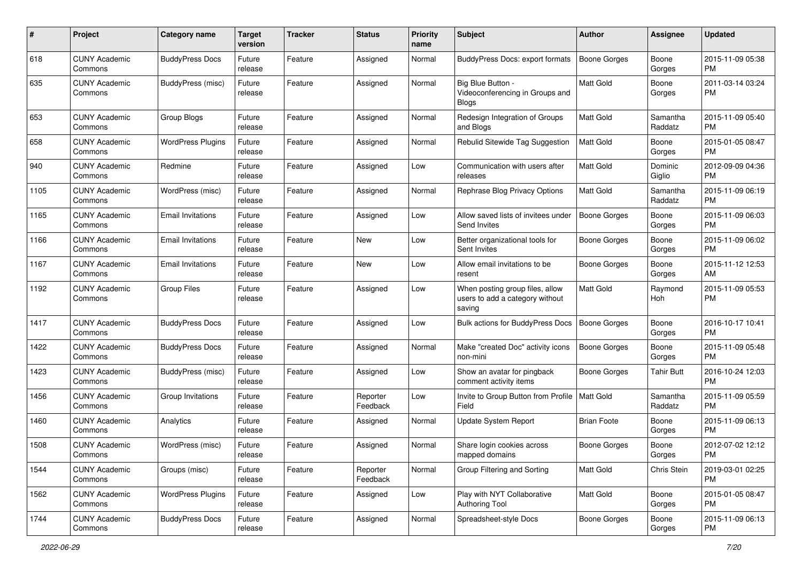| #    | Project                         | <b>Category name</b>     | <b>Target</b><br>version | <b>Tracker</b> | <b>Status</b>        | <b>Priority</b><br>name | Subject                                                                      | Author              | <b>Assignee</b>     | <b>Updated</b>                |
|------|---------------------------------|--------------------------|--------------------------|----------------|----------------------|-------------------------|------------------------------------------------------------------------------|---------------------|---------------------|-------------------------------|
| 618  | <b>CUNY Academic</b><br>Commons | <b>BuddyPress Docs</b>   | Future<br>release        | Feature        | Assigned             | Normal                  | BuddyPress Docs: export formats                                              | <b>Boone Gorges</b> | Boone<br>Gorges     | 2015-11-09 05:38<br><b>PM</b> |
| 635  | <b>CUNY Academic</b><br>Commons | <b>BuddyPress (misc)</b> | Future<br>release        | Feature        | Assigned             | Normal                  | Big Blue Button -<br>Videoconferencing in Groups and<br><b>Blogs</b>         | <b>Matt Gold</b>    | Boone<br>Gorges     | 2011-03-14 03:24<br><b>PM</b> |
| 653  | <b>CUNY Academic</b><br>Commons | Group Blogs              | Future<br>release        | Feature        | Assigned             | Normal                  | Redesign Integration of Groups<br>and Blogs                                  | Matt Gold           | Samantha<br>Raddatz | 2015-11-09 05:40<br><b>PM</b> |
| 658  | <b>CUNY Academic</b><br>Commons | <b>WordPress Plugins</b> | Future<br>release        | Feature        | Assigned             | Normal                  | Rebulid Sitewide Tag Suggestion                                              | <b>Matt Gold</b>    | Boone<br>Gorges     | 2015-01-05 08:47<br><b>PM</b> |
| 940  | <b>CUNY Academic</b><br>Commons | Redmine                  | Future<br>release        | Feature        | Assigned             | Low                     | Communication with users after<br>releases                                   | <b>Matt Gold</b>    | Dominic<br>Giglio   | 2012-09-09 04:36<br><b>PM</b> |
| 1105 | <b>CUNY Academic</b><br>Commons | WordPress (misc)         | Future<br>release        | Feature        | Assigned             | Normal                  | Rephrase Blog Privacy Options                                                | Matt Gold           | Samantha<br>Raddatz | 2015-11-09 06:19<br><b>PM</b> |
| 1165 | <b>CUNY Academic</b><br>Commons | <b>Email Invitations</b> | Future<br>release        | Feature        | Assigned             | Low                     | Allow saved lists of invitees under<br>Send Invites                          | <b>Boone Gorges</b> | Boone<br>Gorges     | 2015-11-09 06:03<br><b>PM</b> |
| 1166 | <b>CUNY Academic</b><br>Commons | <b>Email Invitations</b> | Future<br>release        | Feature        | New                  | Low                     | Better organizational tools for<br>Sent Invites                              | <b>Boone Gorges</b> | Boone<br>Gorges     | 2015-11-09 06:02<br><b>PM</b> |
| 1167 | <b>CUNY Academic</b><br>Commons | <b>Email Invitations</b> | Future<br>release        | Feature        | New                  | Low                     | Allow email invitations to be<br>resent                                      | <b>Boone Gorges</b> | Boone<br>Gorges     | 2015-11-12 12:53<br>AM        |
| 1192 | <b>CUNY Academic</b><br>Commons | <b>Group Files</b>       | Future<br>release        | Feature        | Assigned             | Low                     | When posting group files, allow<br>users to add a category without<br>saving | Matt Gold           | Raymond<br>Hoh      | 2015-11-09 05:53<br>PM        |
| 1417 | <b>CUNY Academic</b><br>Commons | <b>BuddyPress Docs</b>   | Future<br>release        | Feature        | Assigned             | Low                     | Bulk actions for BuddyPress Docs                                             | <b>Boone Gorges</b> | Boone<br>Gorges     | 2016-10-17 10:41<br><b>PM</b> |
| 1422 | <b>CUNY Academic</b><br>Commons | <b>BuddyPress Docs</b>   | Future<br>release        | Feature        | Assigned             | Normal                  | Make "created Doc" activity icons<br>non-mini                                | <b>Boone Gorges</b> | Boone<br>Gorges     | 2015-11-09 05:48<br><b>PM</b> |
| 1423 | <b>CUNY Academic</b><br>Commons | BuddyPress (misc)        | Future<br>release        | Feature        | Assigned             | Low                     | Show an avatar for pingback<br>comment activity items                        | Boone Gorges        | <b>Tahir Butt</b>   | 2016-10-24 12:03<br><b>PM</b> |
| 1456 | <b>CUNY Academic</b><br>Commons | Group Invitations        | Future<br>release        | Feature        | Reporter<br>Feedback | Low                     | Invite to Group Button from Profile<br>Field                                 | Matt Gold           | Samantha<br>Raddatz | 2015-11-09 05:59<br><b>PM</b> |
| 1460 | <b>CUNY Academic</b><br>Commons | Analytics                | Future<br>release        | Feature        | Assigned             | Normal                  | Update System Report                                                         | <b>Brian Foote</b>  | Boone<br>Gorges     | 2015-11-09 06:13<br><b>PM</b> |
| 1508 | <b>CUNY Academic</b><br>Commons | WordPress (misc)         | Future<br>release        | Feature        | Assigned             | Normal                  | Share login cookies across<br>mapped domains                                 | <b>Boone Gorges</b> | Boone<br>Gorges     | 2012-07-02 12:12<br>PM        |
| 1544 | <b>CUNY Academic</b><br>Commons | Groups (misc)            | Future<br>release        | Feature        | Reporter<br>Feedback | Normal                  | Group Filtering and Sorting                                                  | Matt Gold           | Chris Stein         | 2019-03-01 02:25<br>PM        |
| 1562 | <b>CUNY Academic</b><br>Commons | <b>WordPress Plugins</b> | Future<br>release        | Feature        | Assigned             | Low                     | Play with NYT Collaborative<br><b>Authoring Tool</b>                         | Matt Gold           | Boone<br>Gorges     | 2015-01-05 08:47<br>PM        |
| 1744 | <b>CUNY Academic</b><br>Commons | <b>BuddyPress Docs</b>   | Future<br>release        | Feature        | Assigned             | Normal                  | Spreadsheet-style Docs                                                       | Boone Gorges        | Boone<br>Gorges     | 2015-11-09 06:13<br><b>PM</b> |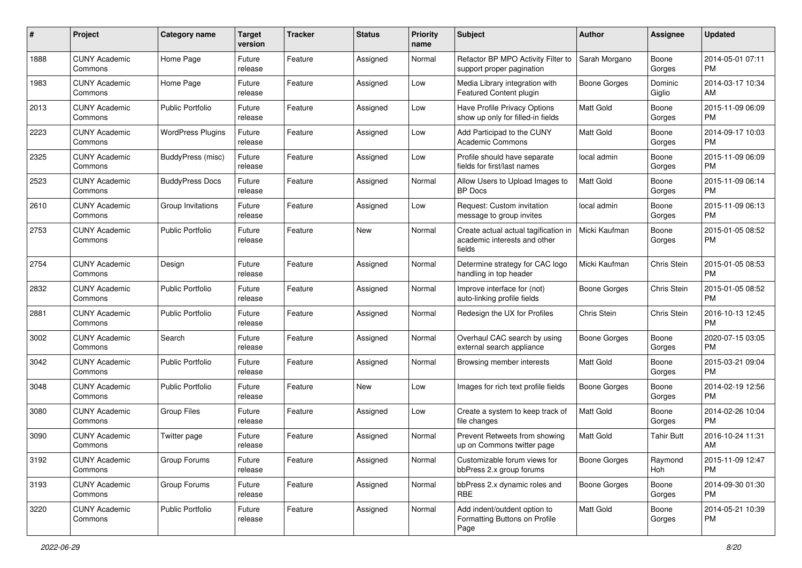| #    | Project                         | <b>Category name</b>     | <b>Target</b><br>version | <b>Tracker</b> | <b>Status</b> | <b>Priority</b><br>name | Subject                                                                        | Author              | <b>Assignee</b>   | <b>Updated</b>                |
|------|---------------------------------|--------------------------|--------------------------|----------------|---------------|-------------------------|--------------------------------------------------------------------------------|---------------------|-------------------|-------------------------------|
| 1888 | <b>CUNY Academic</b><br>Commons | Home Page                | Future<br>release        | Feature        | Assigned      | Normal                  | Refactor BP MPO Activity Filter to<br>support proper pagination                | Sarah Morgano       | Boone<br>Gorges   | 2014-05-01 07:11<br><b>PM</b> |
| 1983 | <b>CUNY Academic</b><br>Commons | Home Page                | Future<br>release        | Feature        | Assigned      | Low                     | Media Library integration with<br><b>Featured Content plugin</b>               | <b>Boone Gorges</b> | Dominic<br>Giglio | 2014-03-17 10:34<br>AM        |
| 2013 | <b>CUNY Academic</b><br>Commons | <b>Public Portfolio</b>  | Future<br>release        | Feature        | Assigned      | Low                     | Have Profile Privacy Options<br>show up only for filled-in fields              | <b>Matt Gold</b>    | Boone<br>Gorges   | 2015-11-09 06:09<br><b>PM</b> |
| 2223 | <b>CUNY Academic</b><br>Commons | <b>WordPress Plugins</b> | Future<br>release        | Feature        | Assigned      | Low                     | Add Participad to the CUNY<br><b>Academic Commons</b>                          | <b>Matt Gold</b>    | Boone<br>Gorges   | 2014-09-17 10:03<br><b>PM</b> |
| 2325 | <b>CUNY Academic</b><br>Commons | <b>BuddyPress</b> (misc) | Future<br>release        | Feature        | Assigned      | Low                     | Profile should have separate<br>fields for first/last names                    | local admin         | Boone<br>Gorges   | 2015-11-09 06:09<br><b>PM</b> |
| 2523 | <b>CUNY Academic</b><br>Commons | <b>BuddyPress Docs</b>   | Future<br>release        | Feature        | Assigned      | Normal                  | Allow Users to Upload Images to<br><b>BP</b> Docs                              | <b>Matt Gold</b>    | Boone<br>Gorges   | 2015-11-09 06:14<br><b>PM</b> |
| 2610 | <b>CUNY Academic</b><br>Commons | Group Invitations        | Future<br>release        | Feature        | Assigned      | Low                     | Request: Custom invitation<br>message to group invites                         | local admin         | Boone<br>Gorges   | 2015-11-09 06:13<br><b>PM</b> |
| 2753 | <b>CUNY Academic</b><br>Commons | Public Portfolio         | Future<br>release        | Feature        | <b>New</b>    | Normal                  | Create actual actual tagification in<br>academic interests and other<br>fields | Micki Kaufman       | Boone<br>Gorges   | 2015-01-05 08:52<br><b>PM</b> |
| 2754 | <b>CUNY Academic</b><br>Commons | Design                   | Future<br>release        | Feature        | Assigned      | Normal                  | Determine strategy for CAC logo<br>handling in top header                      | Micki Kaufman       | Chris Stein       | 2015-01-05 08:53<br><b>PM</b> |
| 2832 | <b>CUNY Academic</b><br>Commons | <b>Public Portfolio</b>  | Future<br>release        | Feature        | Assigned      | Normal                  | Improve interface for (not)<br>auto-linking profile fields                     | <b>Boone Gorges</b> | Chris Stein       | 2015-01-05 08:52<br><b>PM</b> |
| 2881 | <b>CUNY Academic</b><br>Commons | <b>Public Portfolio</b>  | Future<br>release        | Feature        | Assigned      | Normal                  | Redesign the UX for Profiles                                                   | Chris Stein         | Chris Stein       | 2016-10-13 12:45<br>PM        |
| 3002 | <b>CUNY Academic</b><br>Commons | Search                   | Future<br>release        | Feature        | Assigned      | Normal                  | Overhaul CAC search by using<br>external search appliance                      | Boone Gorges        | Boone<br>Gorges   | 2020-07-15 03:05<br><b>PM</b> |
| 3042 | <b>CUNY Academic</b><br>Commons | <b>Public Portfolio</b>  | Future<br>release        | Feature        | Assigned      | Normal                  | Browsing member interests                                                      | <b>Matt Gold</b>    | Boone<br>Gorges   | 2015-03-21 09:04<br><b>PM</b> |
| 3048 | <b>CUNY Academic</b><br>Commons | <b>Public Portfolio</b>  | Future<br>release        | Feature        | <b>New</b>    | Low                     | Images for rich text profile fields                                            | <b>Boone Gorges</b> | Boone<br>Gorges   | 2014-02-19 12:56<br><b>PM</b> |
| 3080 | <b>CUNY Academic</b><br>Commons | <b>Group Files</b>       | Future<br>release        | Feature        | Assigned      | Low                     | Create a system to keep track of<br>file changes                               | <b>Matt Gold</b>    | Boone<br>Gorges   | 2014-02-26 10:04<br><b>PM</b> |
| 3090 | <b>CUNY Academic</b><br>Commons | Twitter page             | Future<br>release        | Feature        | Assigned      | Normal                  | Prevent Retweets from showing<br>up on Commons twitter page                    | Matt Gold           | <b>Tahir Butt</b> | 2016-10-24 11:31<br>AM        |
| 3192 | <b>CUNY Academic</b><br>Commons | Group Forums             | Future<br>release        | Feature        | Assigned      | Normal                  | Customizable forum views for<br>bbPress 2.x group forums                       | <b>Boone Gorges</b> | Raymond<br>Hoh    | 2015-11-09 12:47<br>PM        |
| 3193 | <b>CUNY Academic</b><br>Commons | Group Forums             | Future<br>release        | Feature        | Assigned      | Normal                  | bbPress 2.x dynamic roles and<br><b>RBE</b>                                    | Boone Gorges        | Boone<br>Gorges   | 2014-09-30 01:30<br><b>PM</b> |
| 3220 | <b>CUNY Academic</b><br>Commons | Public Portfolio         | Future<br>release        | Feature        | Assigned      | Normal                  | Add indent/outdent option to<br>Formatting Buttons on Profile<br>Page          | Matt Gold           | Boone<br>Gorges   | 2014-05-21 10:39<br><b>PM</b> |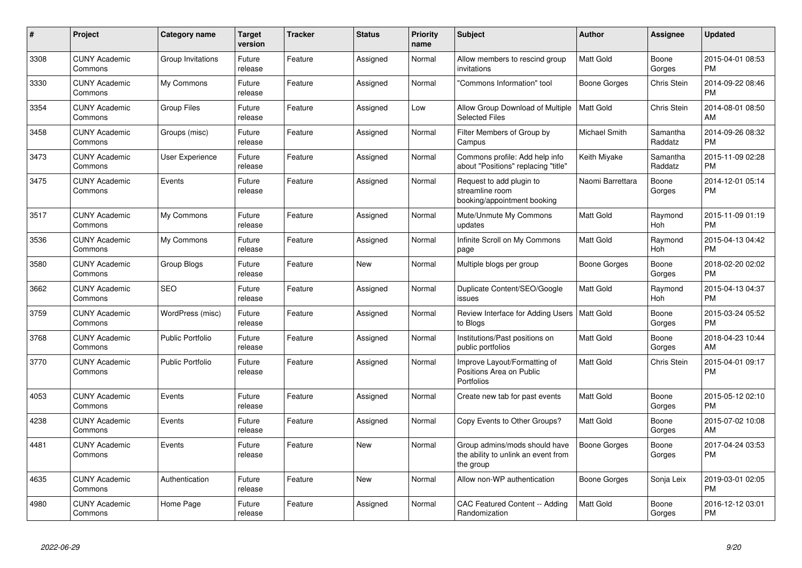| #    | Project                         | <b>Category name</b>    | Target<br>version | <b>Tracker</b> | <b>Status</b> | <b>Priority</b><br>name | <b>Subject</b>                                                                    | <b>Author</b>    | <b>Assignee</b>     | <b>Updated</b>                |
|------|---------------------------------|-------------------------|-------------------|----------------|---------------|-------------------------|-----------------------------------------------------------------------------------|------------------|---------------------|-------------------------------|
| 3308 | <b>CUNY Academic</b><br>Commons | Group Invitations       | Future<br>release | Feature        | Assigned      | Normal                  | Allow members to rescind group<br>invitations                                     | <b>Matt Gold</b> | Boone<br>Gorges     | 2015-04-01 08:53<br><b>PM</b> |
| 3330 | <b>CUNY Academic</b><br>Commons | My Commons              | Future<br>release | Feature        | Assigned      | Normal                  | 'Commons Information" tool                                                        | Boone Gorges     | Chris Stein         | 2014-09-22 08:46<br><b>PM</b> |
| 3354 | <b>CUNY Academic</b><br>Commons | <b>Group Files</b>      | Future<br>release | Feature        | Assigned      | Low                     | Allow Group Download of Multiple<br><b>Selected Files</b>                         | Matt Gold        | Chris Stein         | 2014-08-01 08:50<br>AM        |
| 3458 | <b>CUNY Academic</b><br>Commons | Groups (misc)           | Future<br>release | Feature        | Assigned      | Normal                  | Filter Members of Group by<br>Campus                                              | Michael Smith    | Samantha<br>Raddatz | 2014-09-26 08:32<br><b>PM</b> |
| 3473 | <b>CUNY Academic</b><br>Commons | User Experience         | Future<br>release | Feature        | Assigned      | Normal                  | Commons profile: Add help info<br>about "Positions" replacing "title"             | Keith Miyake     | Samantha<br>Raddatz | 2015-11-09 02:28<br><b>PM</b> |
| 3475 | <b>CUNY Academic</b><br>Commons | Events                  | Future<br>release | Feature        | Assigned      | Normal                  | Request to add plugin to<br>streamline room<br>booking/appointment booking        | Naomi Barrettara | Boone<br>Gorges     | 2014-12-01 05:14<br><b>PM</b> |
| 3517 | <b>CUNY Academic</b><br>Commons | My Commons              | Future<br>release | Feature        | Assigned      | Normal                  | Mute/Unmute My Commons<br>updates                                                 | Matt Gold        | Raymond<br>Hoh      | 2015-11-09 01:19<br><b>PM</b> |
| 3536 | <b>CUNY Academic</b><br>Commons | My Commons              | Future<br>release | Feature        | Assigned      | Normal                  | Infinite Scroll on My Commons<br>page                                             | Matt Gold        | Raymond<br>Hoh      | 2015-04-13 04:42<br><b>PM</b> |
| 3580 | <b>CUNY Academic</b><br>Commons | Group Blogs             | Future<br>release | Feature        | <b>New</b>    | Normal                  | Multiple blogs per group                                                          | Boone Gorges     | Boone<br>Gorges     | 2018-02-20 02:02<br><b>PM</b> |
| 3662 | <b>CUNY Academic</b><br>Commons | <b>SEO</b>              | Future<br>release | Feature        | Assigned      | Normal                  | Duplicate Content/SEO/Google<br>issues                                            | Matt Gold        | Raymond<br>Hoh      | 2015-04-13 04:37<br><b>PM</b> |
| 3759 | <b>CUNY Academic</b><br>Commons | WordPress (misc)        | Future<br>release | Feature        | Assigned      | Normal                  | Review Interface for Adding Users<br>to Blogs                                     | <b>Matt Gold</b> | Boone<br>Gorges     | 2015-03-24 05:52<br><b>PM</b> |
| 3768 | <b>CUNY Academic</b><br>Commons | <b>Public Portfolio</b> | Future<br>release | Feature        | Assigned      | Normal                  | Institutions/Past positions on<br>public portfolios                               | <b>Matt Gold</b> | Boone<br>Gorges     | 2018-04-23 10:44<br>AM        |
| 3770 | <b>CUNY Academic</b><br>Commons | <b>Public Portfolio</b> | Future<br>release | Feature        | Assigned      | Normal                  | Improve Layout/Formatting of<br>Positions Area on Public<br>Portfolios            | Matt Gold        | Chris Stein         | 2015-04-01 09:17<br><b>PM</b> |
| 4053 | <b>CUNY Academic</b><br>Commons | Events                  | Future<br>release | Feature        | Assigned      | Normal                  | Create new tab for past events                                                    | <b>Matt Gold</b> | Boone<br>Gorges     | 2015-05-12 02:10<br><b>PM</b> |
| 4238 | <b>CUNY Academic</b><br>Commons | Events                  | Future<br>release | Feature        | Assigned      | Normal                  | Copy Events to Other Groups?                                                      | Matt Gold        | Boone<br>Gorges     | 2015-07-02 10:08<br>AM        |
| 4481 | <b>CUNY Academic</b><br>Commons | Events                  | Future<br>release | Feature        | <b>New</b>    | Normal                  | Group admins/mods should have<br>the ability to unlink an event from<br>the group | Boone Gorges     | Boone<br>Gorges     | 2017-04-24 03:53<br><b>PM</b> |
| 4635 | <b>CUNY Academic</b><br>Commons | Authentication          | Future<br>release | Feature        | <b>New</b>    | Normal                  | Allow non-WP authentication                                                       | Boone Gorges     | Sonja Leix          | 2019-03-01 02:05<br><b>PM</b> |
| 4980 | <b>CUNY Academic</b><br>Commons | Home Page               | Future<br>release | Feature        | Assigned      | Normal                  | CAC Featured Content -- Adding<br>Randomization                                   | Matt Gold        | Boone<br>Gorges     | 2016-12-12 03:01<br><b>PM</b> |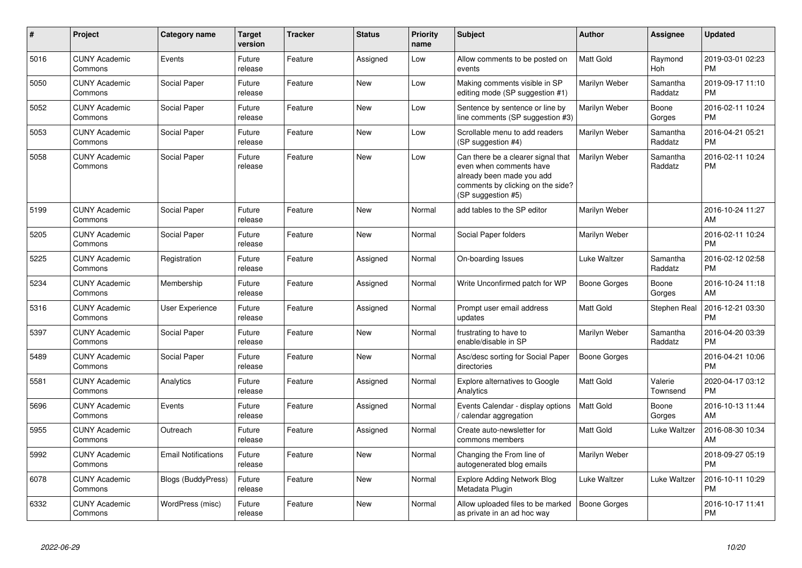| #    | <b>Project</b>                  | Category name              | <b>Target</b><br>version | <b>Tracker</b> | <b>Status</b> | <b>Priority</b><br>name | <b>Subject</b>                                                                                                                                        | <b>Author</b>    | <b>Assignee</b>     | <b>Updated</b>                |
|------|---------------------------------|----------------------------|--------------------------|----------------|---------------|-------------------------|-------------------------------------------------------------------------------------------------------------------------------------------------------|------------------|---------------------|-------------------------------|
| 5016 | <b>CUNY Academic</b><br>Commons | Events                     | Future<br>release        | Feature        | Assigned      | Low                     | Allow comments to be posted on<br>events                                                                                                              | <b>Matt Gold</b> | Raymond<br>Hoh      | 2019-03-01 02:23<br><b>PM</b> |
| 5050 | <b>CUNY Academic</b><br>Commons | Social Paper               | Future<br>release        | Feature        | <b>New</b>    | Low                     | Making comments visible in SP<br>editing mode (SP suggestion #1)                                                                                      | Marilyn Weber    | Samantha<br>Raddatz | 2019-09-17 11:10<br><b>PM</b> |
| 5052 | <b>CUNY Academic</b><br>Commons | Social Paper               | Future<br>release        | Feature        | <b>New</b>    | Low                     | Sentence by sentence or line by<br>line comments (SP suggestion #3)                                                                                   | Marilyn Weber    | Boone<br>Gorges     | 2016-02-11 10:24<br><b>PM</b> |
| 5053 | <b>CUNY Academic</b><br>Commons | Social Paper               | Future<br>release        | Feature        | <b>New</b>    | Low                     | Scrollable menu to add readers<br>(SP suggestion #4)                                                                                                  | Marilyn Weber    | Samantha<br>Raddatz | 2016-04-21 05:21<br><b>PM</b> |
| 5058 | <b>CUNY Academic</b><br>Commons | Social Paper               | Future<br>release        | Feature        | <b>New</b>    | Low                     | Can there be a clearer signal that<br>even when comments have<br>already been made you add<br>comments by clicking on the side?<br>(SP suggestion #5) | Marilyn Weber    | Samantha<br>Raddatz | 2016-02-11 10:24<br><b>PM</b> |
| 5199 | <b>CUNY Academic</b><br>Commons | Social Paper               | Future<br>release        | Feature        | <b>New</b>    | Normal                  | add tables to the SP editor                                                                                                                           | Marilyn Weber    |                     | 2016-10-24 11:27<br>AM        |
| 5205 | <b>CUNY Academic</b><br>Commons | Social Paper               | Future<br>release        | Feature        | New           | Normal                  | Social Paper folders                                                                                                                                  | Marilyn Weber    |                     | 2016-02-11 10:24<br><b>PM</b> |
| 5225 | <b>CUNY Academic</b><br>Commons | Registration               | Future<br>release        | Feature        | Assigned      | Normal                  | On-boarding Issues                                                                                                                                    | Luke Waltzer     | Samantha<br>Raddatz | 2016-02-12 02:58<br><b>PM</b> |
| 5234 | <b>CUNY Academic</b><br>Commons | Membership                 | Future<br>release        | Feature        | Assigned      | Normal                  | Write Unconfirmed patch for WP                                                                                                                        | Boone Gorges     | Boone<br>Gorges     | 2016-10-24 11:18<br>AM        |
| 5316 | <b>CUNY Academic</b><br>Commons | User Experience            | Future<br>release        | Feature        | Assigned      | Normal                  | Prompt user email address<br>updates                                                                                                                  | Matt Gold        | Stephen Real        | 2016-12-21 03:30<br><b>PM</b> |
| 5397 | <b>CUNY Academic</b><br>Commons | Social Paper               | Future<br>release        | Feature        | <b>New</b>    | Normal                  | frustrating to have to<br>enable/disable in SP                                                                                                        | Marilyn Weber    | Samantha<br>Raddatz | 2016-04-20 03:39<br><b>PM</b> |
| 5489 | <b>CUNY Academic</b><br>Commons | Social Paper               | Future<br>release        | Feature        | <b>New</b>    | Normal                  | Asc/desc sorting for Social Paper<br>directories                                                                                                      | Boone Gorges     |                     | 2016-04-21 10:06<br><b>PM</b> |
| 5581 | <b>CUNY Academic</b><br>Commons | Analytics                  | Future<br>release        | Feature        | Assigned      | Normal                  | <b>Explore alternatives to Google</b><br>Analytics                                                                                                    | <b>Matt Gold</b> | Valerie<br>Townsend | 2020-04-17 03:12<br><b>PM</b> |
| 5696 | <b>CUNY Academic</b><br>Commons | Events                     | Future<br>release        | Feature        | Assigned      | Normal                  | Events Calendar - display options<br>calendar aggregation                                                                                             | <b>Matt Gold</b> | Boone<br>Gorges     | 2016-10-13 11:44<br>AM        |
| 5955 | <b>CUNY Academic</b><br>Commons | Outreach                   | Future<br>release        | Feature        | Assigned      | Normal                  | Create auto-newsletter for<br>commons members                                                                                                         | Matt Gold        | Luke Waltzer        | 2016-08-30 10:34<br>AM        |
| 5992 | <b>CUNY Academic</b><br>Commons | <b>Email Notifications</b> | Future<br>release        | Feature        | <b>New</b>    | Normal                  | Changing the From line of<br>autogenerated blog emails                                                                                                | Marilyn Weber    |                     | 2018-09-27 05:19<br><b>PM</b> |
| 6078 | <b>CUNY Academic</b><br>Commons | <b>Blogs (BuddyPress)</b>  | Future<br>release        | Feature        | <b>New</b>    | Normal                  | <b>Explore Adding Network Blog</b><br>Metadata Plugin                                                                                                 | Luke Waltzer     | Luke Waltzer        | 2016-10-11 10:29<br><b>PM</b> |
| 6332 | <b>CUNY Academic</b><br>Commons | WordPress (misc)           | Future<br>release        | Feature        | <b>New</b>    | Normal                  | Allow uploaded files to be marked<br>as private in an ad hoc way                                                                                      | Boone Gorges     |                     | 2016-10-17 11:41<br><b>PM</b> |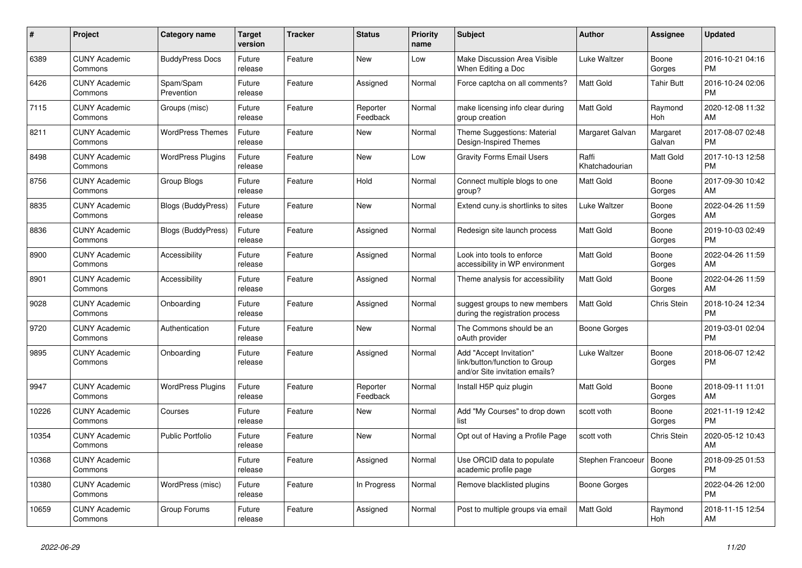| #     | Project                         | Category name             | <b>Target</b><br>version | <b>Tracker</b> | <b>Status</b>        | Priority<br>name | <b>Subject</b>                                                                             | <b>Author</b>           | Assignee           | <b>Updated</b>                |
|-------|---------------------------------|---------------------------|--------------------------|----------------|----------------------|------------------|--------------------------------------------------------------------------------------------|-------------------------|--------------------|-------------------------------|
| 6389  | <b>CUNY Academic</b><br>Commons | <b>BuddyPress Docs</b>    | Future<br>release        | Feature        | <b>New</b>           | Low              | Make Discussion Area Visible<br>When Editing a Doc                                         | Luke Waltzer            | Boone<br>Gorges    | 2016-10-21 04:16<br><b>PM</b> |
| 6426  | <b>CUNY Academic</b><br>Commons | Spam/Spam<br>Prevention   | Future<br>release        | Feature        | Assigned             | Normal           | Force captcha on all comments?                                                             | <b>Matt Gold</b>        | Tahir Butt         | 2016-10-24 02:06<br><b>PM</b> |
| 7115  | <b>CUNY Academic</b><br>Commons | Groups (misc)             | Future<br>release        | Feature        | Reporter<br>Feedback | Normal           | make licensing info clear during<br>group creation                                         | Matt Gold               | Raymond<br>Hoh     | 2020-12-08 11:32<br>AM        |
| 8211  | <b>CUNY Academic</b><br>Commons | <b>WordPress Themes</b>   | Future<br>release        | Feature        | <b>New</b>           | Normal           | Theme Suggestions: Material<br>Design-Inspired Themes                                      | Margaret Galvan         | Margaret<br>Galvan | 2017-08-07 02:48<br><b>PM</b> |
| 8498  | <b>CUNY Academic</b><br>Commons | <b>WordPress Plugins</b>  | Future<br>release        | Feature        | New                  | Low              | <b>Gravity Forms Email Users</b>                                                           | Raffi<br>Khatchadourian | Matt Gold          | 2017-10-13 12:58<br><b>PM</b> |
| 8756  | <b>CUNY Academic</b><br>Commons | Group Blogs               | Future<br>release        | Feature        | Hold                 | Normal           | Connect multiple blogs to one<br>group?                                                    | Matt Gold               | Boone<br>Gorges    | 2017-09-30 10:42<br>AM        |
| 8835  | <b>CUNY Academic</b><br>Commons | <b>Blogs (BuddyPress)</b> | Future<br>release        | Feature        | <b>New</b>           | Normal           | Extend cuny is shortlinks to sites                                                         | <b>Luke Waltzer</b>     | Boone<br>Gorges    | 2022-04-26 11:59<br>AM        |
| 8836  | <b>CUNY Academic</b><br>Commons | <b>Blogs (BuddyPress)</b> | Future<br>release        | Feature        | Assigned             | Normal           | Redesign site launch process                                                               | <b>Matt Gold</b>        | Boone<br>Gorges    | 2019-10-03 02:49<br><b>PM</b> |
| 8900  | <b>CUNY Academic</b><br>Commons | Accessibility             | Future<br>release        | Feature        | Assigned             | Normal           | Look into tools to enforce<br>accessibility in WP environment                              | Matt Gold               | Boone<br>Gorges    | 2022-04-26 11:59<br>AM        |
| 8901  | <b>CUNY Academic</b><br>Commons | Accessibility             | Future<br>release        | Feature        | Assigned             | Normal           | Theme analysis for accessibility                                                           | Matt Gold               | Boone<br>Gorges    | 2022-04-26 11:59<br>AM        |
| 9028  | <b>CUNY Academic</b><br>Commons | Onboarding                | Future<br>release        | Feature        | Assigned             | Normal           | suggest groups to new members<br>during the registration process                           | Matt Gold               | Chris Stein        | 2018-10-24 12:34<br><b>PM</b> |
| 9720  | <b>CUNY Academic</b><br>Commons | Authentication            | Future<br>release        | Feature        | New                  | Normal           | The Commons should be an<br>oAuth provider                                                 | Boone Gorges            |                    | 2019-03-01 02:04<br><b>PM</b> |
| 9895  | <b>CUNY Academic</b><br>Commons | Onboarding                | Future<br>release        | Feature        | Assigned             | Normal           | Add "Accept Invitation"<br>link/button/function to Group<br>and/or Site invitation emails? | Luke Waltzer            | Boone<br>Gorges    | 2018-06-07 12:42<br><b>PM</b> |
| 9947  | <b>CUNY Academic</b><br>Commons | <b>WordPress Plugins</b>  | Future<br>release        | Feature        | Reporter<br>Feedback | Normal           | Install H5P quiz plugin                                                                    | Matt Gold               | Boone<br>Gorges    | 2018-09-11 11:01<br>AM        |
| 10226 | <b>CUNY Academic</b><br>Commons | Courses                   | Future<br>release        | Feature        | <b>New</b>           | Normal           | Add "My Courses" to drop down<br>list                                                      | scott voth              | Boone<br>Gorges    | 2021-11-19 12:42<br><b>PM</b> |
| 10354 | <b>CUNY Academic</b><br>Commons | <b>Public Portfolio</b>   | Future<br>release        | Feature        | <b>New</b>           | Normal           | Opt out of Having a Profile Page                                                           | scott voth              | <b>Chris Stein</b> | 2020-05-12 10:43<br>AM        |
| 10368 | <b>CUNY Academic</b><br>Commons |                           | Future<br>release        | Feature        | Assigned             | Normal           | Use ORCID data to populate<br>academic profile page                                        | Stephen Francoeur       | Boone<br>Gorges    | 2018-09-25 01:53<br><b>PM</b> |
| 10380 | <b>CUNY Academic</b><br>Commons | WordPress (misc)          | Future<br>release        | Feature        | In Progress          | Normal           | Remove blacklisted plugins                                                                 | Boone Gorges            |                    | 2022-04-26 12:00<br><b>PM</b> |
| 10659 | <b>CUNY Academic</b><br>Commons | Group Forums              | Future<br>release        | Feature        | Assigned             | Normal           | Post to multiple groups via email                                                          | <b>Matt Gold</b>        | Raymond<br>Hoh     | 2018-11-15 12:54<br>AM        |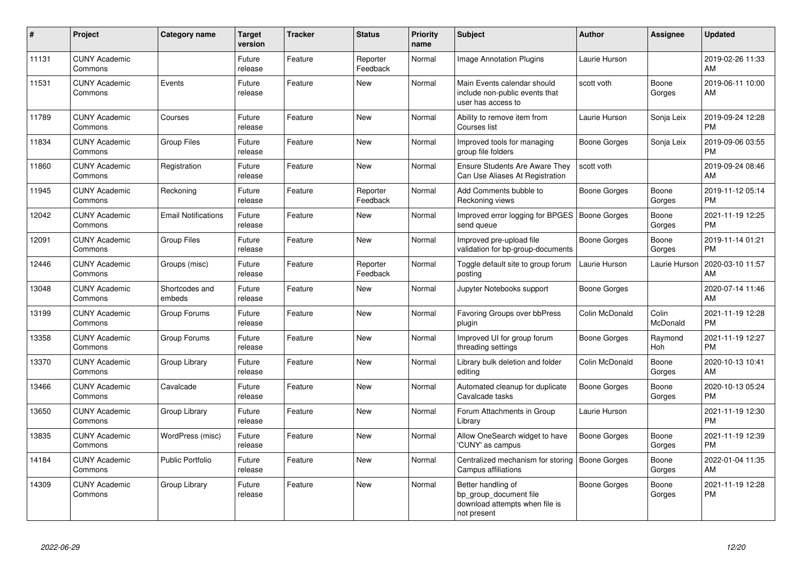| #     | Project                         | <b>Category name</b>       | <b>Target</b><br>version | <b>Tracker</b> | <b>Status</b>        | <b>Priority</b><br>name | <b>Subject</b>                                                                                | Author              | <b>Assignee</b>       | <b>Updated</b>                |
|-------|---------------------------------|----------------------------|--------------------------|----------------|----------------------|-------------------------|-----------------------------------------------------------------------------------------------|---------------------|-----------------------|-------------------------------|
| 11131 | <b>CUNY Academic</b><br>Commons |                            | Future<br>release        | Feature        | Reporter<br>Feedback | Normal                  | <b>Image Annotation Plugins</b>                                                               | Laurie Hurson       |                       | 2019-02-26 11:33<br>AM        |
| 11531 | <b>CUNY Academic</b><br>Commons | Events                     | Future<br>release        | Feature        | <b>New</b>           | Normal                  | Main Events calendar should<br>include non-public events that<br>user has access to           | scott voth          | Boone<br>Gorges       | 2019-06-11 10:00<br>AM        |
| 11789 | <b>CUNY Academic</b><br>Commons | Courses                    | Future<br>release        | Feature        | <b>New</b>           | Normal                  | Ability to remove item from<br>Courses list                                                   | Laurie Hurson       | Sonja Leix            | 2019-09-24 12:28<br><b>PM</b> |
| 11834 | <b>CUNY Academic</b><br>Commons | <b>Group Files</b>         | Future<br>release        | Feature        | <b>New</b>           | Normal                  | Improved tools for managing<br>group file folders                                             | Boone Gorges        | Sonja Leix            | 2019-09-06 03:55<br><b>PM</b> |
| 11860 | <b>CUNY Academic</b><br>Commons | Registration               | Future<br>release        | Feature        | <b>New</b>           | Normal                  | Ensure Students Are Aware They<br>Can Use Aliases At Registration                             | scott voth          |                       | 2019-09-24 08:46<br>AM        |
| 11945 | <b>CUNY Academic</b><br>Commons | Reckoning                  | Future<br>release        | Feature        | Reporter<br>Feedback | Normal                  | Add Comments bubble to<br>Reckoning views                                                     | <b>Boone Gorges</b> | Boone<br>Gorges       | 2019-11-12 05:14<br><b>PM</b> |
| 12042 | <b>CUNY Academic</b><br>Commons | <b>Email Notifications</b> | Future<br>release        | Feature        | <b>New</b>           | Normal                  | Improved error logging for BPGES   Boone Gorges<br>send queue                                 |                     | Boone<br>Gorges       | 2021-11-19 12:25<br><b>PM</b> |
| 12091 | <b>CUNY Academic</b><br>Commons | <b>Group Files</b>         | Future<br>release        | Feature        | <b>New</b>           | Normal                  | Improved pre-upload file<br>validation for bp-group-documents                                 | Boone Gorges        | Boone<br>Gorges       | 2019-11-14 01:21<br><b>PM</b> |
| 12446 | <b>CUNY Academic</b><br>Commons | Groups (misc)              | Future<br>release        | Feature        | Reporter<br>Feedback | Normal                  | Toggle default site to group forum<br>posting                                                 | Laurie Hurson       | Laurie Hurson         | 2020-03-10 11:57<br>AM        |
| 13048 | <b>CUNY Academic</b><br>Commons | Shortcodes and<br>embeds   | Future<br>release        | Feature        | <b>New</b>           | Normal                  | Jupyter Notebooks support                                                                     | <b>Boone Gorges</b> |                       | 2020-07-14 11:46<br>AM        |
| 13199 | <b>CUNY Academic</b><br>Commons | Group Forums               | Future<br>release        | Feature        | <b>New</b>           | Normal                  | Favoring Groups over bbPress<br>plugin                                                        | Colin McDonald      | Colin<br>McDonald     | 2021-11-19 12:28<br><b>PM</b> |
| 13358 | <b>CUNY Academic</b><br>Commons | Group Forums               | Future<br>release        | Feature        | <b>New</b>           | Normal                  | Improved UI for group forum<br>threading settings                                             | <b>Boone Gorges</b> | Raymond<br><b>Hoh</b> | 2021-11-19 12:27<br><b>PM</b> |
| 13370 | <b>CUNY Academic</b><br>Commons | Group Library              | Future<br>release        | Feature        | <b>New</b>           | Normal                  | Library bulk deletion and folder<br>editing                                                   | Colin McDonald      | Boone<br>Gorges       | 2020-10-13 10:41<br>AM        |
| 13466 | <b>CUNY Academic</b><br>Commons | Cavalcade                  | Future<br>release        | Feature        | <b>New</b>           | Normal                  | Automated cleanup for duplicate<br>Cavalcade tasks                                            | <b>Boone Gorges</b> | Boone<br>Gorges       | 2020-10-13 05:24<br><b>PM</b> |
| 13650 | <b>CUNY Academic</b><br>Commons | Group Library              | Future<br>release        | Feature        | <b>New</b>           | Normal                  | Forum Attachments in Group<br>Library                                                         | Laurie Hurson       |                       | 2021-11-19 12:30<br><b>PM</b> |
| 13835 | <b>CUNY Academic</b><br>Commons | WordPress (misc)           | Future<br>release        | Feature        | <b>New</b>           | Normal                  | Allow OneSearch widget to have<br>'CUNY' as campus                                            | <b>Boone Gorges</b> | Boone<br>Gorges       | 2021-11-19 12:39<br><b>PM</b> |
| 14184 | <b>CUNY Academic</b><br>Commons | <b>Public Portfolio</b>    | Future<br>release        | Feature        | New                  | Normal                  | Centralized mechanism for storing<br>Campus affiliations                                      | <b>Boone Gorges</b> | Boone<br>Gorges       | 2022-01-04 11:35<br>AM        |
| 14309 | <b>CUNY Academic</b><br>Commons | Group Library              | Future<br>release        | Feature        | New                  | Normal                  | Better handling of<br>bp group document file<br>download attempts when file is<br>not present | <b>Boone Gorges</b> | Boone<br>Gorges       | 2021-11-19 12:28<br><b>PM</b> |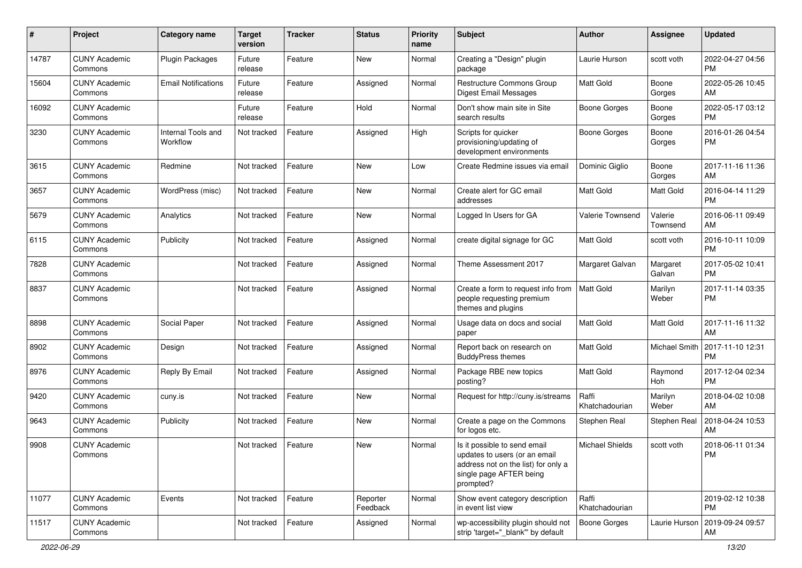| #     | Project                         | <b>Category name</b>           | <b>Target</b><br>version | <b>Tracker</b> | <b>Status</b>        | <b>Priority</b><br>name | Subject                                                                                                                                      | <b>Author</b>           | <b>Assignee</b>     | <b>Updated</b>                |
|-------|---------------------------------|--------------------------------|--------------------------|----------------|----------------------|-------------------------|----------------------------------------------------------------------------------------------------------------------------------------------|-------------------------|---------------------|-------------------------------|
| 14787 | <b>CUNY Academic</b><br>Commons | <b>Plugin Packages</b>         | Future<br>release        | Feature        | New                  | Normal                  | Creating a "Design" plugin<br>package                                                                                                        | Laurie Hurson           | scott voth          | 2022-04-27 04:56<br><b>PM</b> |
| 15604 | <b>CUNY Academic</b><br>Commons | <b>Email Notifications</b>     | Future<br>release        | Feature        | Assigned             | Normal                  | <b>Restructure Commons Group</b><br><b>Digest Email Messages</b>                                                                             | Matt Gold               | Boone<br>Gorges     | 2022-05-26 10:45<br>AM        |
| 16092 | <b>CUNY Academic</b><br>Commons |                                | Future<br>release        | Feature        | Hold                 | Normal                  | Don't show main site in Site<br>search results                                                                                               | <b>Boone Gorges</b>     | Boone<br>Gorges     | 2022-05-17 03:12<br><b>PM</b> |
| 3230  | <b>CUNY Academic</b><br>Commons | Internal Tools and<br>Workflow | Not tracked              | Feature        | Assigned             | High                    | Scripts for quicker<br>provisioning/updating of<br>development environments                                                                  | Boone Gorges            | Boone<br>Gorges     | 2016-01-26 04:54<br><b>PM</b> |
| 3615  | <b>CUNY Academic</b><br>Commons | Redmine                        | Not tracked              | Feature        | <b>New</b>           | Low                     | Create Redmine issues via email                                                                                                              | Dominic Giglio          | Boone<br>Gorges     | 2017-11-16 11:36<br>AM        |
| 3657  | <b>CUNY Academic</b><br>Commons | WordPress (misc)               | Not tracked              | Feature        | <b>New</b>           | Normal                  | Create alert for GC email<br>addresses                                                                                                       | Matt Gold               | <b>Matt Gold</b>    | 2016-04-14 11:29<br><b>PM</b> |
| 5679  | <b>CUNY Academic</b><br>Commons | Analytics                      | Not tracked              | Feature        | New                  | Normal                  | Logged In Users for GA                                                                                                                       | Valerie Townsend        | Valerie<br>Townsend | 2016-06-11 09:49<br>AM        |
| 6115  | <b>CUNY Academic</b><br>Commons | Publicity                      | Not tracked              | Feature        | Assigned             | Normal                  | create digital signage for GC                                                                                                                | Matt Gold               | scott voth          | 2016-10-11 10:09<br><b>PM</b> |
| 7828  | <b>CUNY Academic</b><br>Commons |                                | Not tracked              | Feature        | Assigned             | Normal                  | Theme Assessment 2017                                                                                                                        | Margaret Galvan         | Margaret<br>Galvan  | 2017-05-02 10:41<br><b>PM</b> |
| 8837  | <b>CUNY Academic</b><br>Commons |                                | Not tracked              | Feature        | Assigned             | Normal                  | Create a form to request info from<br>people requesting premium<br>themes and plugins                                                        | <b>Matt Gold</b>        | Marilyn<br>Weber    | 2017-11-14 03:35<br><b>PM</b> |
| 8898  | <b>CUNY Academic</b><br>Commons | Social Paper                   | Not tracked              | Feature        | Assigned             | Normal                  | Usage data on docs and social<br>paper                                                                                                       | Matt Gold               | Matt Gold           | 2017-11-16 11:32<br>AM        |
| 8902  | <b>CUNY Academic</b><br>Commons | Design                         | Not tracked              | Feature        | Assigned             | Normal                  | Report back on research on<br><b>BuddyPress themes</b>                                                                                       | Matt Gold               | Michael Smith       | 2017-11-10 12:31<br><b>PM</b> |
| 8976  | <b>CUNY Academic</b><br>Commons | Reply By Email                 | Not tracked              | Feature        | Assigned             | Normal                  | Package RBE new topics<br>posting?                                                                                                           | <b>Matt Gold</b>        | Raymond<br>Hoh      | 2017-12-04 02:34<br><b>PM</b> |
| 9420  | <b>CUNY Academic</b><br>Commons | cuny.is                        | Not tracked              | Feature        | New                  | Normal                  | Request for http://cuny.is/streams                                                                                                           | Raffi<br>Khatchadourian | Marilyn<br>Weber    | 2018-04-02 10:08<br>AM        |
| 9643  | <b>CUNY Academic</b><br>Commons | Publicity                      | Not tracked              | Feature        | <b>New</b>           | Normal                  | Create a page on the Commons<br>for logos etc.                                                                                               | Stephen Real            | Stephen Real        | 2018-04-24 10:53<br>AM        |
| 9908  | <b>CUNY Academic</b><br>Commons |                                | Not tracked              | Feature        | New                  | Normal                  | Is it possible to send email<br>updates to users (or an email<br>address not on the list) for only a<br>single page AFTER being<br>prompted? | <b>Michael Shields</b>  | scott voth          | 2018-06-11 01:34<br>PM        |
| 11077 | <b>CUNY Academic</b><br>Commons | Events                         | Not tracked              | Feature        | Reporter<br>Feedback | Normal                  | Show event category description<br>in event list view                                                                                        | Raffi<br>Khatchadourian |                     | 2019-02-12 10:38<br><b>PM</b> |
| 11517 | <b>CUNY Academic</b><br>Commons |                                | Not tracked              | Feature        | Assigned             | Normal                  | wp-accessibility plugin should not<br>strip 'target="_blank" by default                                                                      | <b>Boone Gorges</b>     | Laurie Hurson       | 2019-09-24 09:57<br>AM        |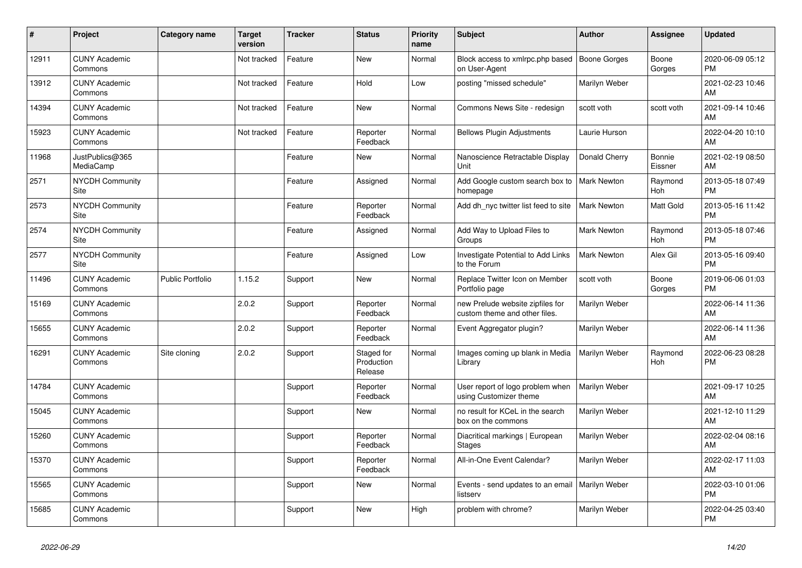| #     | Project                         | <b>Category name</b> | Target<br>version | <b>Tracker</b> | <b>Status</b>                       | <b>Priority</b><br>name | <b>Subject</b>                                                    | Author              | <b>Assignee</b>       | <b>Updated</b>                |
|-------|---------------------------------|----------------------|-------------------|----------------|-------------------------------------|-------------------------|-------------------------------------------------------------------|---------------------|-----------------------|-------------------------------|
| 12911 | <b>CUNY Academic</b><br>Commons |                      | Not tracked       | Feature        | <b>New</b>                          | Normal                  | Block access to xmlrpc.php based<br>on User-Agent                 | <b>Boone Gorges</b> | Boone<br>Gorges       | 2020-06-09 05:12<br><b>PM</b> |
| 13912 | <b>CUNY Academic</b><br>Commons |                      | Not tracked       | Feature        | Hold                                | Low                     | posting "missed schedule"                                         | Marilyn Weber       |                       | 2021-02-23 10:46<br>AM        |
| 14394 | <b>CUNY Academic</b><br>Commons |                      | Not tracked       | Feature        | New                                 | Normal                  | Commons News Site - redesign                                      | scott voth          | scott voth            | 2021-09-14 10:46<br>AM        |
| 15923 | <b>CUNY Academic</b><br>Commons |                      | Not tracked       | Feature        | Reporter<br>Feedback                | Normal                  | <b>Bellows Plugin Adjustments</b>                                 | Laurie Hurson       |                       | 2022-04-20 10:10<br>AM        |
| 11968 | JustPublics@365<br>MediaCamp    |                      |                   | Feature        | <b>New</b>                          | Normal                  | Nanoscience Retractable Display<br>Unit                           | Donald Cherry       | Bonnie<br>Eissner     | 2021-02-19 08:50<br>AM        |
| 2571  | <b>NYCDH Community</b><br>Site  |                      |                   | Feature        | Assigned                            | Normal                  | Add Google custom search box to<br>homepage                       | <b>Mark Newton</b>  | Raymond<br>Hoh        | 2013-05-18 07:49<br><b>PM</b> |
| 2573  | <b>NYCDH Community</b><br>Site  |                      |                   | Feature        | Reporter<br>Feedback                | Normal                  | Add dh nyc twitter list feed to site                              | <b>Mark Newton</b>  | <b>Matt Gold</b>      | 2013-05-16 11:42<br><b>PM</b> |
| 2574  | <b>NYCDH Community</b><br>Site  |                      |                   | Feature        | Assigned                            | Normal                  | Add Way to Upload Files to<br>Groups                              | Mark Newton         | Raymond<br>Hoh        | 2013-05-18 07:46<br><b>PM</b> |
| 2577  | <b>NYCDH Community</b><br>Site  |                      |                   | Feature        | Assigned                            | Low                     | Investigate Potential to Add Links<br>to the Forum                | <b>Mark Newton</b>  | Alex Gil              | 2013-05-16 09:40<br><b>PM</b> |
| 11496 | <b>CUNY Academic</b><br>Commons | Public Portfolio     | 1.15.2            | Support        | New                                 | Normal                  | Replace Twitter Icon on Member<br>Portfolio page                  | scott voth          | Boone<br>Gorges       | 2019-06-06 01:03<br><b>PM</b> |
| 15169 | <b>CUNY Academic</b><br>Commons |                      | 2.0.2             | Support        | Reporter<br>Feedback                | Normal                  | new Prelude website zipfiles for<br>custom theme and other files. | Marilyn Weber       |                       | 2022-06-14 11:36<br>AM        |
| 15655 | <b>CUNY Academic</b><br>Commons |                      | 2.0.2             | Support        | Reporter<br>Feedback                | Normal                  | Event Aggregator plugin?                                          | Marilyn Weber       |                       | 2022-06-14 11:36<br>AM        |
| 16291 | <b>CUNY Academic</b><br>Commons | Site cloning         | 2.0.2             | Support        | Staged for<br>Production<br>Release | Normal                  | Images coming up blank in Media<br>Librarv                        | Marilyn Weber       | Raymond<br><b>Hoh</b> | 2022-06-23 08:28<br><b>PM</b> |
| 14784 | <b>CUNY Academic</b><br>Commons |                      |                   | Support        | Reporter<br>Feedback                | Normal                  | User report of logo problem when<br>using Customizer theme        | Marilyn Weber       |                       | 2021-09-17 10:25<br>AM        |
| 15045 | <b>CUNY Academic</b><br>Commons |                      |                   | Support        | <b>New</b>                          | Normal                  | no result for KCeL in the search<br>box on the commons            | Marilyn Weber       |                       | 2021-12-10 11:29<br>AM        |
| 15260 | <b>CUNY Academic</b><br>Commons |                      |                   | Support        | Reporter<br>Feedback                | Normal                  | Diacritical markings   European<br><b>Stages</b>                  | Marilyn Weber       |                       | 2022-02-04 08:16<br>AM        |
| 15370 | <b>CUNY Academic</b><br>Commons |                      |                   | Support        | Reporter<br>Feedback                | Normal                  | All-in-One Event Calendar?                                        | Marilyn Weber       |                       | 2022-02-17 11:03<br>AM        |
| 15565 | <b>CUNY Academic</b><br>Commons |                      |                   | Support        | <b>New</b>                          | Normal                  | Events - send updates to an email   Marilyn Weber<br>listserv     |                     |                       | 2022-03-10 01:06<br><b>PM</b> |
| 15685 | <b>CUNY Academic</b><br>Commons |                      |                   | Support        | <b>New</b>                          | High                    | problem with chrome?                                              | Marilyn Weber       |                       | 2022-04-25 03:40<br><b>PM</b> |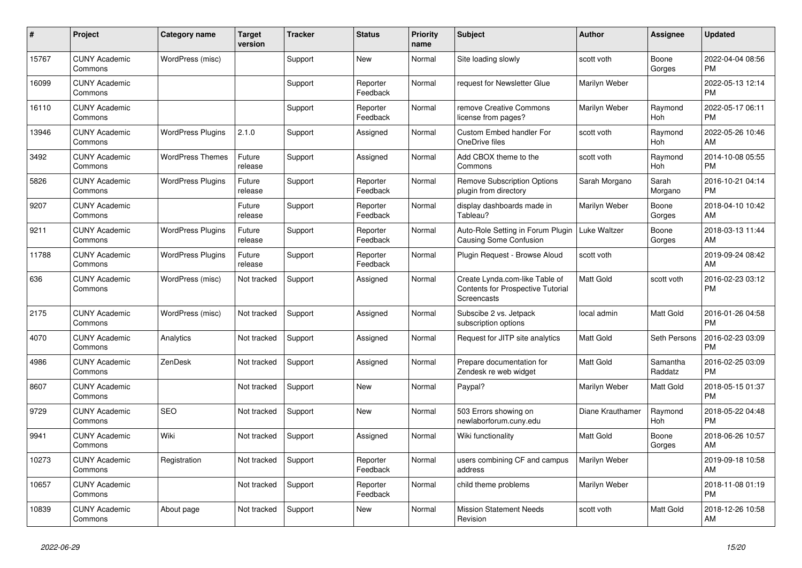| #     | Project                         | <b>Category name</b>     | <b>Target</b><br>version | <b>Tracker</b> | <b>Status</b>        | <b>Priority</b><br>name | <b>Subject</b>                                                                     | <b>Author</b>    | <b>Assignee</b>       | <b>Updated</b>                |
|-------|---------------------------------|--------------------------|--------------------------|----------------|----------------------|-------------------------|------------------------------------------------------------------------------------|------------------|-----------------------|-------------------------------|
| 15767 | <b>CUNY Academic</b><br>Commons | WordPress (misc)         |                          | Support        | <b>New</b>           | Normal                  | Site loading slowly                                                                | scott voth       | Boone<br>Gorges       | 2022-04-04 08:56<br><b>PM</b> |
| 16099 | <b>CUNY Academic</b><br>Commons |                          |                          | Support        | Reporter<br>Feedback | Normal                  | request for Newsletter Glue                                                        | Marilyn Weber    |                       | 2022-05-13 12:14<br><b>PM</b> |
| 16110 | <b>CUNY Academic</b><br>Commons |                          |                          | Support        | Reporter<br>Feedback | Normal                  | remove Creative Commons<br>license from pages?                                     | Marilyn Weber    | Raymond<br><b>Hoh</b> | 2022-05-17 06:11<br><b>PM</b> |
| 13946 | <b>CUNY Academic</b><br>Commons | <b>WordPress Plugins</b> | 2.1.0                    | Support        | Assigned             | Normal                  | <b>Custom Embed handler For</b><br>OneDrive files                                  | scott voth       | Raymond<br><b>Hoh</b> | 2022-05-26 10:46<br>AM        |
| 3492  | <b>CUNY Academic</b><br>Commons | <b>WordPress Themes</b>  | Future<br>release        | Support        | Assigned             | Normal                  | Add CBOX theme to the<br>Commons                                                   | scott voth       | Raymond<br>Hoh        | 2014-10-08 05:55<br><b>PM</b> |
| 5826  | <b>CUNY Academic</b><br>Commons | <b>WordPress Plugins</b> | Future<br>release        | Support        | Reporter<br>Feedback | Normal                  | <b>Remove Subscription Options</b><br>plugin from directory                        | Sarah Morgano    | Sarah<br>Morgano      | 2016-10-21 04:14<br><b>PM</b> |
| 9207  | <b>CUNY Academic</b><br>Commons |                          | Future<br>release        | Support        | Reporter<br>Feedback | Normal                  | display dashboards made in<br>Tableau?                                             | Marilyn Weber    | Boone<br>Gorges       | 2018-04-10 10:42<br>AM        |
| 9211  | <b>CUNY Academic</b><br>Commons | <b>WordPress Plugins</b> | Future<br>release        | Support        | Reporter<br>Feedback | Normal                  | Auto-Role Setting in Forum Plugin<br>Causing Some Confusion                        | Luke Waltzer     | Boone<br>Gorges       | 2018-03-13 11:44<br>AM        |
| 11788 | <b>CUNY Academic</b><br>Commons | WordPress Plugins        | Future<br>release        | Support        | Reporter<br>Feedback | Normal                  | Plugin Request - Browse Aloud                                                      | scott voth       |                       | 2019-09-24 08:42<br>AM        |
| 636   | <b>CUNY Academic</b><br>Commons | WordPress (misc)         | Not tracked              | Support        | Assigned             | Normal                  | Create Lynda.com-like Table of<br>Contents for Prospective Tutorial<br>Screencasts | <b>Matt Gold</b> | scott voth            | 2016-02-23 03:12<br><b>PM</b> |
| 2175  | <b>CUNY Academic</b><br>Commons | WordPress (misc)         | Not tracked              | Support        | Assigned             | Normal                  | Subscibe 2 vs. Jetpack<br>subscription options                                     | local admin      | Matt Gold             | 2016-01-26 04:58<br><b>PM</b> |
| 4070  | <b>CUNY Academic</b><br>Commons | Analytics                | Not tracked              | Support        | Assigned             | Normal                  | Request for JITP site analytics                                                    | <b>Matt Gold</b> | Seth Persons          | 2016-02-23 03:09<br><b>PM</b> |
| 4986  | <b>CUNY Academic</b><br>Commons | ZenDesk                  | Not tracked              | Support        | Assigned             | Normal                  | Prepare documentation for<br>Zendesk re web widget                                 | <b>Matt Gold</b> | Samantha<br>Raddatz   | 2016-02-25 03:09<br><b>PM</b> |
| 8607  | <b>CUNY Academic</b><br>Commons |                          | Not tracked              | Support        | <b>New</b>           | Normal                  | Paypal?                                                                            | Marilyn Weber    | Matt Gold             | 2018-05-15 01:37<br><b>PM</b> |
| 9729  | <b>CUNY Academic</b><br>Commons | <b>SEO</b>               | Not tracked              | Support        | <b>New</b>           | Normal                  | 503 Errors showing on<br>newlaborforum.cuny.edu                                    | Diane Krauthamer | Raymond<br>Hoh        | 2018-05-22 04:48<br><b>PM</b> |
| 9941  | <b>CUNY Academic</b><br>Commons | Wiki                     | Not tracked              | Support        | Assigned             | Normal                  | Wiki functionality                                                                 | <b>Matt Gold</b> | Boone<br>Gorges       | 2018-06-26 10:57<br>AM        |
| 10273 | <b>CUNY Academic</b><br>Commons | Registration             | Not tracked              | Support        | Reporter<br>Feedback | Normal                  | users combining CF and campus<br>address                                           | Marilyn Weber    |                       | 2019-09-18 10:58<br>AM        |
| 10657 | <b>CUNY Academic</b><br>Commons |                          | Not tracked              | Support        | Reporter<br>Feedback | Normal                  | child theme problems                                                               | Marilyn Weber    |                       | 2018-11-08 01:19<br><b>PM</b> |
| 10839 | <b>CUNY Academic</b><br>Commons | About page               | Not tracked              | Support        | <b>New</b>           | Normal                  | <b>Mission Statement Needs</b><br>Revision                                         | scott voth       | <b>Matt Gold</b>      | 2018-12-26 10:58<br>AM        |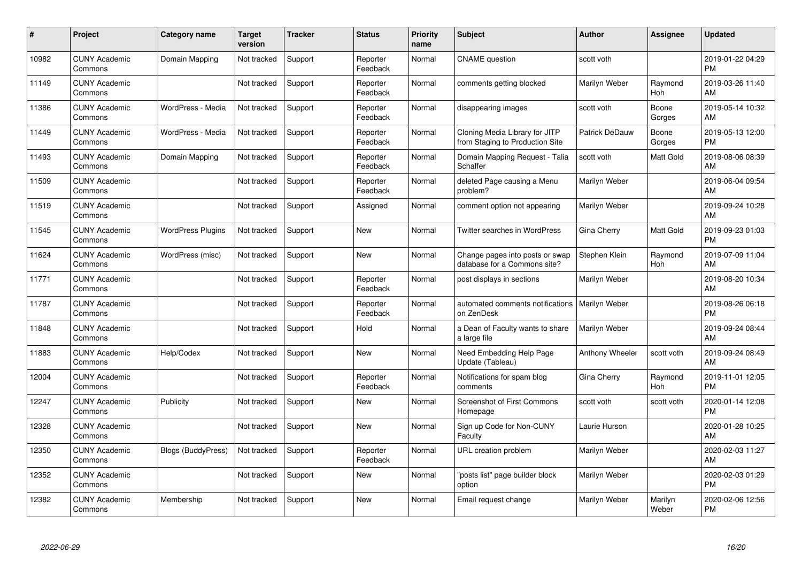| #     | Project                         | <b>Category name</b>      | <b>Target</b><br>version | <b>Tracker</b> | <b>Status</b>        | <b>Priority</b><br>name | <b>Subject</b>                                                    | <b>Author</b>   | <b>Assignee</b>       | <b>Updated</b>                |
|-------|---------------------------------|---------------------------|--------------------------|----------------|----------------------|-------------------------|-------------------------------------------------------------------|-----------------|-----------------------|-------------------------------|
| 10982 | <b>CUNY Academic</b><br>Commons | Domain Mapping            | Not tracked              | Support        | Reporter<br>Feedback | Normal                  | <b>CNAME</b> question                                             | scott voth      |                       | 2019-01-22 04:29<br><b>PM</b> |
| 11149 | <b>CUNY Academic</b><br>Commons |                           | Not tracked              | Support        | Reporter<br>Feedback | Normal                  | comments getting blocked                                          | Marilyn Weber   | Raymond<br><b>Hoh</b> | 2019-03-26 11:40<br>AM        |
| 11386 | <b>CUNY Academic</b><br>Commons | WordPress - Media         | Not tracked              | Support        | Reporter<br>Feedback | Normal                  | disappearing images                                               | scott voth      | Boone<br>Gorges       | 2019-05-14 10:32<br>AM        |
| 11449 | <b>CUNY Academic</b><br>Commons | WordPress - Media         | Not tracked              | Support        | Reporter<br>Feedback | Normal                  | Cloning Media Library for JITP<br>from Staging to Production Site | Patrick DeDauw  | Boone<br>Gorges       | 2019-05-13 12:00<br><b>PM</b> |
| 11493 | <b>CUNY Academic</b><br>Commons | Domain Mapping            | Not tracked              | Support        | Reporter<br>Feedback | Normal                  | Domain Mapping Request - Talia<br>Schaffer                        | scott voth      | <b>Matt Gold</b>      | 2019-08-06 08:39<br>AM        |
| 11509 | <b>CUNY Academic</b><br>Commons |                           | Not tracked              | Support        | Reporter<br>Feedback | Normal                  | deleted Page causing a Menu<br>problem?                           | Marilyn Weber   |                       | 2019-06-04 09:54<br>AM        |
| 11519 | <b>CUNY Academic</b><br>Commons |                           | Not tracked              | Support        | Assigned             | Normal                  | comment option not appearing                                      | Marilyn Weber   |                       | 2019-09-24 10:28<br>AM        |
| 11545 | <b>CUNY Academic</b><br>Commons | <b>WordPress Plugins</b>  | Not tracked              | Support        | New                  | Normal                  | Twitter searches in WordPress                                     | Gina Cherry     | <b>Matt Gold</b>      | 2019-09-23 01:03<br><b>PM</b> |
| 11624 | <b>CUNY Academic</b><br>Commons | WordPress (misc)          | Not tracked              | Support        | <b>New</b>           | Normal                  | Change pages into posts or swap<br>database for a Commons site?   | Stephen Klein   | Raymond<br>Hoh        | 2019-07-09 11:04<br>AM        |
| 11771 | <b>CUNY Academic</b><br>Commons |                           | Not tracked              | Support        | Reporter<br>Feedback | Normal                  | post displays in sections                                         | Marilyn Weber   |                       | 2019-08-20 10:34<br>AM        |
| 11787 | <b>CUNY Academic</b><br>Commons |                           | Not tracked              | Support        | Reporter<br>Feedback | Normal                  | automated comments notifications<br>on ZenDesk                    | Marilyn Weber   |                       | 2019-08-26 06:18<br><b>PM</b> |
| 11848 | <b>CUNY Academic</b><br>Commons |                           | Not tracked              | Support        | Hold                 | Normal                  | a Dean of Faculty wants to share<br>a large file                  | Marilyn Weber   |                       | 2019-09-24 08:44<br>AM        |
| 11883 | <b>CUNY Academic</b><br>Commons | Help/Codex                | Not tracked              | Support        | <b>New</b>           | Normal                  | Need Embedding Help Page<br>Update (Tableau)                      | Anthony Wheeler | scott voth            | 2019-09-24 08:49<br>AM        |
| 12004 | <b>CUNY Academic</b><br>Commons |                           | Not tracked              | Support        | Reporter<br>Feedback | Normal                  | Notifications for spam blog<br>comments                           | Gina Cherry     | Raymond<br><b>Hoh</b> | 2019-11-01 12:05<br><b>PM</b> |
| 12247 | <b>CUNY Academic</b><br>Commons | Publicity                 | Not tracked              | Support        | <b>New</b>           | Normal                  | <b>Screenshot of First Commons</b><br>Homepage                    | scott voth      | scott voth            | 2020-01-14 12:08<br><b>PM</b> |
| 12328 | <b>CUNY Academic</b><br>Commons |                           | Not tracked              | Support        | <b>New</b>           | Normal                  | Sign up Code for Non-CUNY<br>Faculty                              | Laurie Hurson   |                       | 2020-01-28 10:25<br>AM        |
| 12350 | <b>CUNY Academic</b><br>Commons | <b>Blogs (BuddyPress)</b> | Not tracked              | Support        | Reporter<br>Feedback | Normal                  | <b>URL</b> creation problem                                       | Marilyn Weber   |                       | 2020-02-03 11:27<br>AM        |
| 12352 | <b>CUNY Academic</b><br>Commons |                           | Not tracked              | Support        | New                  | Normal                  | 'posts list" page builder block<br>option                         | Marilyn Weber   |                       | 2020-02-03 01:29<br><b>PM</b> |
| 12382 | <b>CUNY Academic</b><br>Commons | Membership                | Not tracked              | Support        | <b>New</b>           | Normal                  | Email request change                                              | Marilyn Weber   | Marilyn<br>Weber      | 2020-02-06 12:56<br><b>PM</b> |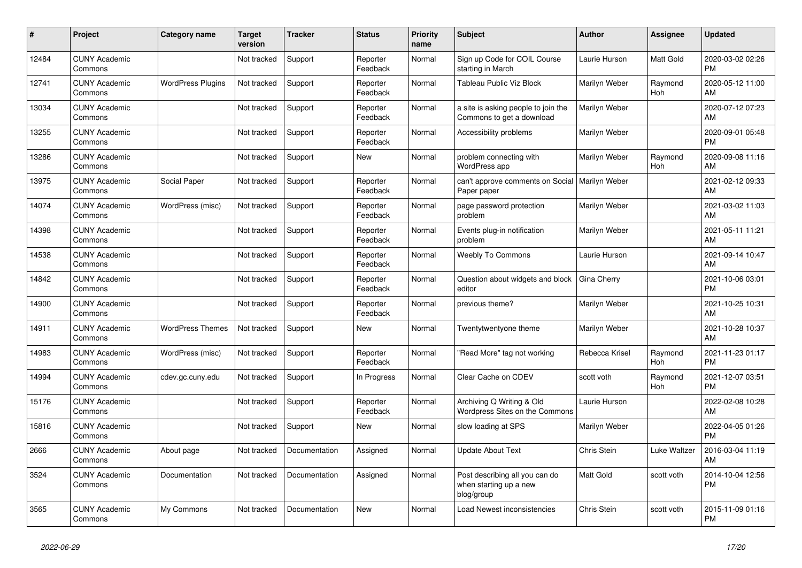| ∦     | Project                         | <b>Category name</b>     | Target<br>version | <b>Tracker</b> | <b>Status</b>        | Priority<br>name | <b>Subject</b>                                                         | <b>Author</b>  | Assignee              | <b>Updated</b>                |
|-------|---------------------------------|--------------------------|-------------------|----------------|----------------------|------------------|------------------------------------------------------------------------|----------------|-----------------------|-------------------------------|
| 12484 | <b>CUNY Academic</b><br>Commons |                          | Not tracked       | Support        | Reporter<br>Feedback | Normal           | Sign up Code for COIL Course<br>starting in March                      | Laurie Hurson  | <b>Matt Gold</b>      | 2020-03-02 02:26<br><b>PM</b> |
| 12741 | <b>CUNY Academic</b><br>Commons | <b>WordPress Plugins</b> | Not tracked       | Support        | Reporter<br>Feedback | Normal           | <b>Tableau Public Viz Block</b>                                        | Marilyn Weber  | Raymond<br>Hoh        | 2020-05-12 11:00<br>AM        |
| 13034 | <b>CUNY Academic</b><br>Commons |                          | Not tracked       | Support        | Reporter<br>Feedback | Normal           | a site is asking people to join the<br>Commons to get a download       | Marilyn Weber  |                       | 2020-07-12 07:23<br>AM        |
| 13255 | <b>CUNY Academic</b><br>Commons |                          | Not tracked       | Support        | Reporter<br>Feedback | Normal           | Accessibility problems                                                 | Marilyn Weber  |                       | 2020-09-01 05:48<br><b>PM</b> |
| 13286 | <b>CUNY Academic</b><br>Commons |                          | Not tracked       | Support        | <b>New</b>           | Normal           | problem connecting with<br>WordPress app                               | Marilyn Weber  | Raymond<br>Hoh        | 2020-09-08 11:16<br>AM        |
| 13975 | <b>CUNY Academic</b><br>Commons | Social Paper             | Not tracked       | Support        | Reporter<br>Feedback | Normal           | can't approve comments on Social<br>Paper paper                        | Marilyn Weber  |                       | 2021-02-12 09:33<br>AM        |
| 14074 | <b>CUNY Academic</b><br>Commons | WordPress (misc)         | Not tracked       | Support        | Reporter<br>Feedback | Normal           | page password protection<br>problem                                    | Marilyn Weber  |                       | 2021-03-02 11:03<br>AM        |
| 14398 | <b>CUNY Academic</b><br>Commons |                          | Not tracked       | Support        | Reporter<br>Feedback | Normal           | Events plug-in notification<br>problem                                 | Marilyn Weber  |                       | 2021-05-11 11:21<br>AM        |
| 14538 | <b>CUNY Academic</b><br>Commons |                          | Not tracked       | Support        | Reporter<br>Feedback | Normal           | <b>Weebly To Commons</b>                                               | Laurie Hurson  |                       | 2021-09-14 10:47<br>AM        |
| 14842 | <b>CUNY Academic</b><br>Commons |                          | Not tracked       | Support        | Reporter<br>Feedback | Normal           | Question about widgets and block<br>editor                             | Gina Cherry    |                       | 2021-10-06 03:01<br><b>PM</b> |
| 14900 | <b>CUNY Academic</b><br>Commons |                          | Not tracked       | Support        | Reporter<br>Feedback | Normal           | previous theme?                                                        | Marilyn Weber  |                       | 2021-10-25 10:31<br>AM        |
| 14911 | <b>CUNY Academic</b><br>Commons | <b>WordPress Themes</b>  | Not tracked       | Support        | <b>New</b>           | Normal           | Twentytwentyone theme                                                  | Marilyn Weber  |                       | 2021-10-28 10:37<br>AM        |
| 14983 | <b>CUNY Academic</b><br>Commons | WordPress (misc)         | Not tracked       | Support        | Reporter<br>Feedback | Normal           | 'Read More" tag not working                                            | Rebecca Krisel | Raymond<br><b>Hoh</b> | 2021-11-23 01:17<br><b>PM</b> |
| 14994 | <b>CUNY Academic</b><br>Commons | cdev.gc.cuny.edu         | Not tracked       | Support        | In Progress          | Normal           | Clear Cache on CDEV                                                    | scott voth     | Raymond<br>Hoh        | 2021-12-07 03:51<br><b>PM</b> |
| 15176 | <b>CUNY Academic</b><br>Commons |                          | Not tracked       | Support        | Reporter<br>Feedback | Normal           | Archiving Q Writing & Old<br>Wordpress Sites on the Commons            | Laurie Hurson  |                       | 2022-02-08 10:28<br>AM        |
| 15816 | <b>CUNY Academic</b><br>Commons |                          | Not tracked       | Support        | <b>New</b>           | Normal           | slow loading at SPS                                                    | Marilyn Weber  |                       | 2022-04-05 01:26<br><b>PM</b> |
| 2666  | <b>CUNY Academic</b><br>Commons | About page               | Not tracked       | Documentation  | Assigned             | Normal           | <b>Update About Text</b>                                               | Chris Stein    | Luke Waltzer          | 2016-03-04 11:19<br>AM        |
| 3524  | <b>CUNY Academic</b><br>Commons | Documentation            | Not tracked       | Documentation  | Assigned             | Normal           | Post describing all you can do<br>when starting up a new<br>blog/group | Matt Gold      | scott voth            | 2014-10-04 12:56<br><b>PM</b> |
| 3565  | <b>CUNY Academic</b><br>Commons | My Commons               | Not tracked       | Documentation  | <b>New</b>           | Normal           | Load Newest inconsistencies                                            | Chris Stein    | scott voth            | 2015-11-09 01:16<br><b>PM</b> |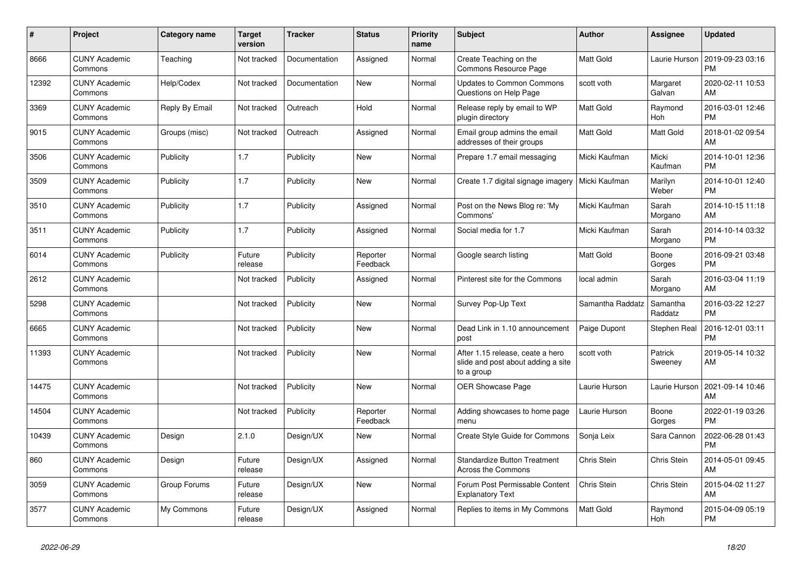| $\#$  | Project                         | Category name  | <b>Target</b><br>version | <b>Tracker</b> | <b>Status</b>        | <b>Priority</b><br>name | <b>Subject</b>                                                                       | <b>Author</b>      | <b>Assignee</b>     | <b>Updated</b>                |
|-------|---------------------------------|----------------|--------------------------|----------------|----------------------|-------------------------|--------------------------------------------------------------------------------------|--------------------|---------------------|-------------------------------|
| 8666  | <b>CUNY Academic</b><br>Commons | Teaching       | Not tracked              | Documentation  | Assigned             | Normal                  | Create Teaching on the<br>Commons Resource Page                                      | Matt Gold          | Laurie Hurson       | 2019-09-23 03:16<br><b>PM</b> |
| 12392 | <b>CUNY Academic</b><br>Commons | Help/Codex     | Not tracked              | Documentation  | <b>New</b>           | Normal                  | <b>Updates to Common Commons</b><br>Questions on Help Page                           | scott voth         | Margaret<br>Galvan  | 2020-02-11 10:53<br>AM        |
| 3369  | <b>CUNY Academic</b><br>Commons | Reply By Email | Not tracked              | Outreach       | Hold                 | Normal                  | Release reply by email to WP<br>plugin directory                                     | Matt Gold          | Raymond<br>Hoh      | 2016-03-01 12:46<br><b>PM</b> |
| 9015  | <b>CUNY Academic</b><br>Commons | Groups (misc)  | Not tracked              | Outreach       | Assigned             | Normal                  | Email group admins the email<br>addresses of their groups                            | Matt Gold          | Matt Gold           | 2018-01-02 09:54<br>AM        |
| 3506  | <b>CUNY Academic</b><br>Commons | Publicity      | 1.7                      | Publicity      | New                  | Normal                  | Prepare 1.7 email messaging                                                          | Micki Kaufman      | Micki<br>Kaufman    | 2014-10-01 12:36<br><b>PM</b> |
| 3509  | <b>CUNY Academic</b><br>Commons | Publicity      | 1.7                      | Publicity      | <b>New</b>           | Normal                  | Create 1.7 digital signage imagery   Micki Kaufman                                   |                    | Marilyn<br>Weber    | 2014-10-01 12:40<br><b>PM</b> |
| 3510  | <b>CUNY Academic</b><br>Commons | Publicity      | 1.7                      | Publicity      | Assigned             | Normal                  | Post on the News Blog re: 'My<br>Commons'                                            | Micki Kaufman      | Sarah<br>Morgano    | 2014-10-15 11:18<br>AM        |
| 3511  | <b>CUNY Academic</b><br>Commons | Publicity      | 1.7                      | Publicity      | Assigned             | Normal                  | Social media for 1.7                                                                 | Micki Kaufman      | Sarah<br>Morgano    | 2014-10-14 03:32<br><b>PM</b> |
| 6014  | <b>CUNY Academic</b><br>Commons | Publicity      | Future<br>release        | Publicity      | Reporter<br>Feedback | Normal                  | Google search listing                                                                | Matt Gold          | Boone<br>Gorges     | 2016-09-21 03:48<br><b>PM</b> |
| 2612  | <b>CUNY Academic</b><br>Commons |                | Not tracked              | Publicity      | Assigned             | Normal                  | Pinterest site for the Commons                                                       | local admin        | Sarah<br>Morgano    | 2016-03-04 11:19<br>AM        |
| 5298  | <b>CUNY Academic</b><br>Commons |                | Not tracked              | Publicity      | <b>New</b>           | Normal                  | Survey Pop-Up Text                                                                   | Samantha Raddatz   | Samantha<br>Raddatz | 2016-03-22 12:27<br><b>PM</b> |
| 6665  | <b>CUNY Academic</b><br>Commons |                | Not tracked              | Publicity      | New                  | Normal                  | Dead Link in 1.10 announcement<br>post                                               | Paige Dupont       | Stephen Real        | 2016-12-01 03:11<br><b>PM</b> |
| 11393 | <b>CUNY Academic</b><br>Commons |                | Not tracked              | Publicity      | <b>New</b>           | Normal                  | After 1.15 release, ceate a hero<br>slide and post about adding a site<br>to a group | scott voth         | Patrick<br>Sweeney  | 2019-05-14 10:32<br>AM        |
| 14475 | <b>CUNY Academic</b><br>Commons |                | Not tracked              | Publicity      | New                  | Normal                  | OER Showcase Page                                                                    | Laurie Hurson      | Laurie Hurson       | 2021-09-14 10:46<br>AM        |
| 14504 | <b>CUNY Academic</b><br>Commons |                | Not tracked              | Publicity      | Reporter<br>Feedback | Normal                  | Adding showcases to home page<br>menu                                                | Laurie Hurson      | Boone<br>Gorges     | 2022-01-19 03:26<br><b>PM</b> |
| 10439 | <b>CUNY Academic</b><br>Commons | Design         | 2.1.0                    | Design/UX      | <b>New</b>           | Normal                  | Create Style Guide for Commons                                                       | Sonja Leix         | Sara Cannon         | 2022-06-28 01:43<br><b>PM</b> |
| 860   | <b>CUNY Academic</b><br>Commons | Design         | Future<br>release        | Design/UX      | Assigned             | Normal                  | <b>Standardize Button Treatment</b><br>Across the Commons                            | <b>Chris Stein</b> | Chris Stein         | 2014-05-01 09:45<br>AM        |
| 3059  | <b>CUNY Academic</b><br>Commons | Group Forums   | Future<br>release        | Design/UX      | <b>New</b>           | Normal                  | Forum Post Permissable Content<br><b>Explanatory Text</b>                            | Chris Stein        | Chris Stein         | 2015-04-02 11:27<br>AM        |
| 3577  | <b>CUNY Academic</b><br>Commons | My Commons     | Future<br>release        | Design/UX      | Assigned             | Normal                  | Replies to items in My Commons                                                       | Matt Gold          | Raymond<br>Hoh      | 2015-04-09 05:19<br><b>PM</b> |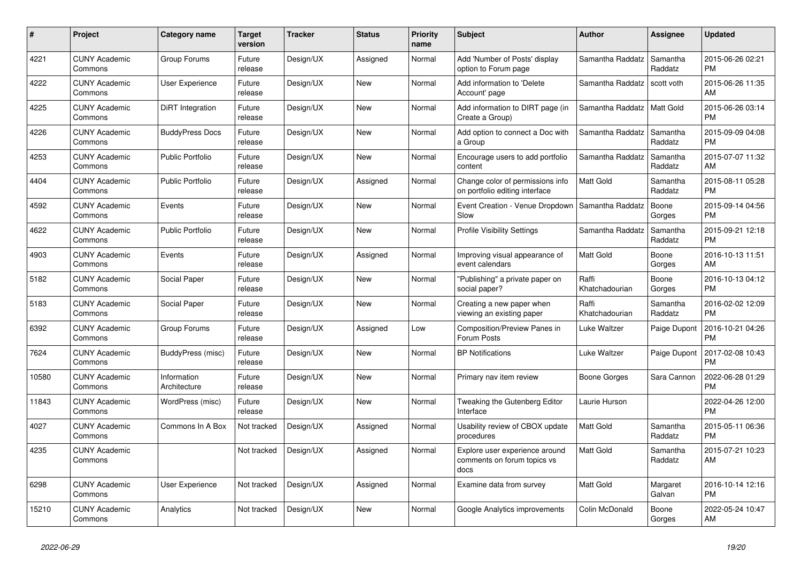| #     | Project                         | Category name               | <b>Target</b><br>version | <b>Tracker</b> | <b>Status</b> | <b>Priority</b><br>name | <b>Subject</b>                                                        | <b>Author</b>           | Assignee            | <b>Updated</b>                |
|-------|---------------------------------|-----------------------------|--------------------------|----------------|---------------|-------------------------|-----------------------------------------------------------------------|-------------------------|---------------------|-------------------------------|
| 4221  | <b>CUNY Academic</b><br>Commons | Group Forums                | Future<br>release        | Design/UX      | Assigned      | Normal                  | Add 'Number of Posts' display<br>option to Forum page                 | Samantha Raddatz        | Samantha<br>Raddatz | 2015-06-26 02:21<br><b>PM</b> |
| 4222  | <b>CUNY Academic</b><br>Commons | <b>User Experience</b>      | Future<br>release        | Design/UX      | <b>New</b>    | Normal                  | Add information to 'Delete<br>Account' page                           | Samantha Raddatz        | scott voth          | 2015-06-26 11:35<br>AM        |
| 4225  | <b>CUNY Academic</b><br>Commons | DiRT Integration            | Future<br>release        | Design/UX      | <b>New</b>    | Normal                  | Add information to DIRT page (in<br>Create a Group)                   | Samantha Raddatz        | <b>Matt Gold</b>    | 2015-06-26 03:14<br><b>PM</b> |
| 4226  | <b>CUNY Academic</b><br>Commons | <b>BuddyPress Docs</b>      | Future<br>release        | Design/UX      | <b>New</b>    | Normal                  | Add option to connect a Doc with<br>a Group                           | Samantha Raddatz        | Samantha<br>Raddatz | 2015-09-09 04:08<br><b>PM</b> |
| 4253  | <b>CUNY Academic</b><br>Commons | <b>Public Portfolio</b>     | Future<br>release        | Design/UX      | <b>New</b>    | Normal                  | Encourage users to add portfolio<br>content                           | Samantha Raddatz        | Samantha<br>Raddatz | 2015-07-07 11:32<br>AM        |
| 4404  | <b>CUNY Academic</b><br>Commons | Public Portfolio            | Future<br>release        | Design/UX      | Assigned      | Normal                  | Change color of permissions info<br>on portfolio editing interface    | Matt Gold               | Samantha<br>Raddatz | 2015-08-11 05:28<br><b>PM</b> |
| 4592  | <b>CUNY Academic</b><br>Commons | Events                      | Future<br>release        | Design/UX      | <b>New</b>    | Normal                  | Event Creation - Venue Dropdown<br>Slow                               | Samantha Raddatz        | Boone<br>Gorges     | 2015-09-14 04:56<br><b>PM</b> |
| 4622  | <b>CUNY Academic</b><br>Commons | <b>Public Portfolio</b>     | Future<br>release        | Design/UX      | <b>New</b>    | Normal                  | <b>Profile Visibility Settings</b>                                    | Samantha Raddatz        | Samantha<br>Raddatz | 2015-09-21 12:18<br><b>PM</b> |
| 4903  | <b>CUNY Academic</b><br>Commons | Events                      | Future<br>release        | Design/UX      | Assigned      | Normal                  | Improving visual appearance of<br>event calendars                     | Matt Gold               | Boone<br>Gorges     | 2016-10-13 11:51<br>AM        |
| 5182  | <b>CUNY Academic</b><br>Commons | Social Paper                | Future<br>release        | Design/UX      | <b>New</b>    | Normal                  | "Publishing" a private paper on<br>social paper?                      | Raffi<br>Khatchadourian | Boone<br>Gorges     | 2016-10-13 04:12<br><b>PM</b> |
| 5183  | <b>CUNY Academic</b><br>Commons | Social Paper                | Future<br>release        | Design/UX      | <b>New</b>    | Normal                  | Creating a new paper when<br>viewing an existing paper                | Raffi<br>Khatchadourian | Samantha<br>Raddatz | 2016-02-02 12:09<br><b>PM</b> |
| 6392  | <b>CUNY Academic</b><br>Commons | Group Forums                | Future<br>release        | Design/UX      | Assigned      | Low                     | Composition/Preview Panes in<br>Forum Posts                           | Luke Waltzer            | Paige Dupont        | 2016-10-21 04:26<br><b>PM</b> |
| 7624  | <b>CUNY Academic</b><br>Commons | BuddyPress (misc)           | Future<br>release        | Design/UX      | <b>New</b>    | Normal                  | <b>BP</b> Notifications                                               | Luke Waltzer            | Paige Dupont        | 2017-02-08 10:43<br><b>PM</b> |
| 10580 | <b>CUNY Academic</b><br>Commons | Information<br>Architecture | Future<br>release        | Design/UX      | <b>New</b>    | Normal                  | Primary nav item review                                               | Boone Gorges            | Sara Cannon         | 2022-06-28 01:29<br><b>PM</b> |
| 11843 | <b>CUNY Academic</b><br>Commons | WordPress (misc)            | Future<br>release        | Design/UX      | <b>New</b>    | Normal                  | Tweaking the Gutenberg Editor<br>Interface                            | Laurie Hurson           |                     | 2022-04-26 12:00<br><b>PM</b> |
| 4027  | <b>CUNY Academic</b><br>Commons | Commons In A Box            | Not tracked              | Design/UX      | Assigned      | Normal                  | Usability review of CBOX update<br>procedures                         | <b>Matt Gold</b>        | Samantha<br>Raddatz | 2015-05-11 06:36<br><b>PM</b> |
| 4235  | <b>CUNY Academic</b><br>Commons |                             | Not tracked              | Design/UX      | Assigned      | Normal                  | Explore user experience around<br>comments on forum topics vs<br>docs | <b>Matt Gold</b>        | Samantha<br>Raddatz | 2015-07-21 10:23<br>AM        |
| 6298  | <b>CUNY Academic</b><br>Commons | User Experience             | Not tracked              | Design/UX      | Assigned      | Normal                  | Examine data from survey                                              | <b>Matt Gold</b>        | Margaret<br>Galvan  | 2016-10-14 12:16<br><b>PM</b> |
| 15210 | <b>CUNY Academic</b><br>Commons | Analytics                   | Not tracked              | Design/UX      | <b>New</b>    | Normal                  | Google Analytics improvements                                         | Colin McDonald          | Boone<br>Gorges     | 2022-05-24 10:47<br>AM        |